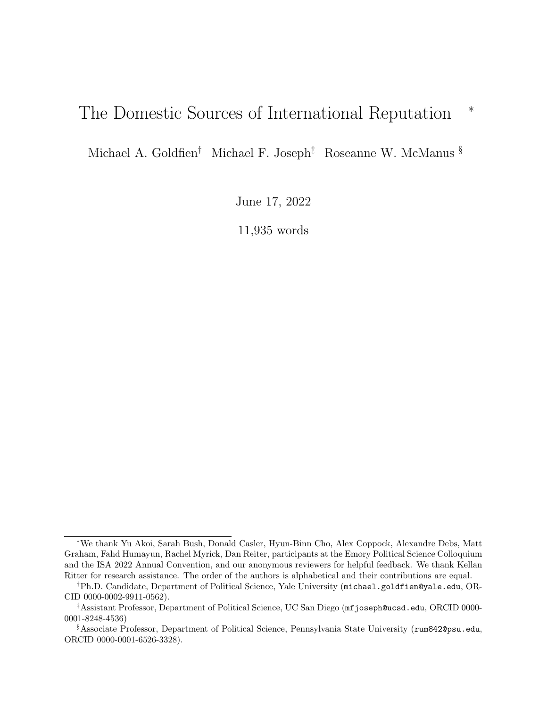# <span id="page-0-0"></span>The Domestic Sources of International Reputation <sup>\*</sup>

Michael A. Goldfien† Michael F. Joseph‡ Roseanne W. McManus §

June 17, 2022

11,935 words

<sup>∗</sup>We thank Yu Akoi, Sarah Bush, Donald Casler, Hyun-Binn Cho, Alex Coppock, Alexandre Debs, Matt Graham, Fahd Humayun, Rachel Myrick, Dan Reiter, participants at the Emory Political Science Colloquium and the ISA 2022 Annual Convention, and our anonymous reviewers for helpful feedback. We thank Kellan Ritter for research assistance. The order of the authors is alphabetical and their contributions are equal.

<sup>†</sup>Ph.D. Candidate, Department of Political Science, Yale University (michael.goldfien@yale.edu, OR-CID 0000-0002-9911-0562).

<sup>‡</sup>Assistant Professor, Department of Political Science, UC San Diego (mfjoseph@ucsd.edu, ORCID 0000- 0001-8248-4536)

<sup>§</sup>Associate Professor, Department of Political Science, Pennsylvania State University (rum842@psu.edu, ORCID 0000-0001-6526-3328).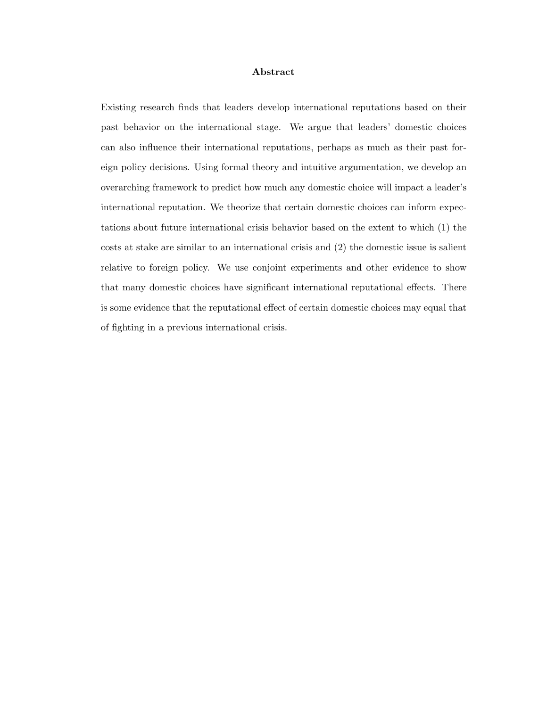#### Abstract

Existing research finds that leaders develop international reputations based on their past behavior on the international stage. We argue that leaders' domestic choices can also influence their international reputations, perhaps as much as their past foreign policy decisions. Using formal theory and intuitive argumentation, we develop an overarching framework to predict how much any domestic choice will impact a leader's international reputation. We theorize that certain domestic choices can inform expectations about future international crisis behavior based on the extent to which (1) the costs at stake are similar to an international crisis and (2) the domestic issue is salient relative to foreign policy. We use conjoint experiments and other evidence to show that many domestic choices have significant international reputational effects. There is some evidence that the reputational effect of certain domestic choices may equal that of fighting in a previous international crisis.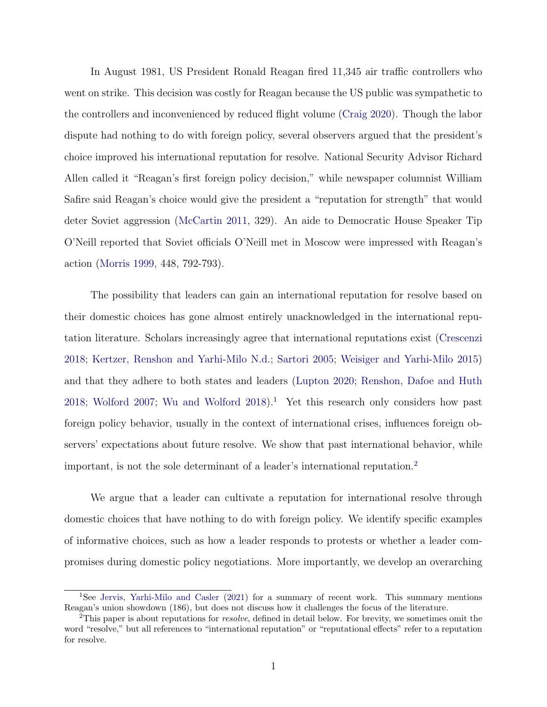In August 1981, US President Ronald Reagan fired 11,345 air traffic controllers who went on strike. This decision was costly for Reagan because the US public was sympathetic to the controllers and inconvenienced by reduced flight volume [\(Craig](#page-48-0) [2020\)](#page-48-0). Though the labor dispute had nothing to do with foreign policy, several observers argued that the president's choice improved his international reputation for resolve. National Security Advisor Richard Allen called it "Reagan's first foreign policy decision," while newspaper columnist William Safire said Reagan's choice would give the president a "reputation for strength" that would deter Soviet aggression [\(McCartin](#page-50-0) [2011,](#page-50-0) 329). An aide to Democratic House Speaker Tip O'Neill reported that Soviet officials O'Neill met in Moscow were impressed with Reagan's action [\(Morris](#page-51-0) [1999,](#page-51-0) 448, 792-793).

The possibility that leaders can gain an international reputation for resolve based on their domestic choices has gone almost entirely unacknowledged in the international reputation literature. Scholars increasingly agree that international reputations exist [\(Crescenzi](#page-48-1) [2018;](#page-48-1) [Kertzer, Renshon and Yarhi-Milo](#page-50-1) [N.d.;](#page-50-1) [Sartori](#page-51-1) [2005;](#page-51-1) [Weisiger and Yarhi-Milo](#page-52-0) [2015\)](#page-52-0) and that they adhere to both states and leaders [\(Lupton](#page-50-2) [2020;](#page-50-2) [Renshon, Dafoe and Huth](#page-51-2) [2018;](#page-51-2) [Wolford](#page-52-1) [2007;](#page-52-1) [Wu and Wolford](#page-52-2) [2018\)](#page-52-2).<sup>[1](#page-0-0)</sup> Yet this research only considers how past foreign policy behavior, usually in the context of international crises, influences foreign observers' expectations about future resolve. We show that past international behavior, while important, is not the sole determinant of a leader's international reputation.<sup>[2](#page-0-0)</sup>

We argue that a leader can cultivate a reputation for international resolve through domestic choices that have nothing to do with foreign policy. We identify specific examples of informative choices, such as how a leader responds to protests or whether a leader compromises during domestic policy negotiations. More importantly, we develop an overarching

<sup>1</sup>See [Jervis, Yarhi-Milo and Casler](#page-49-0) [\(2021\)](#page-49-0) for a summary of recent work. This summary mentions Reagan's union showdown (186), but does not discuss how it challenges the focus of the literature.

 $2$ This paper is about reputations for *resolve*, defined in detail below. For brevity, we sometimes omit the word "resolve," but all references to "international reputation" or "reputational effects" refer to a reputation for resolve.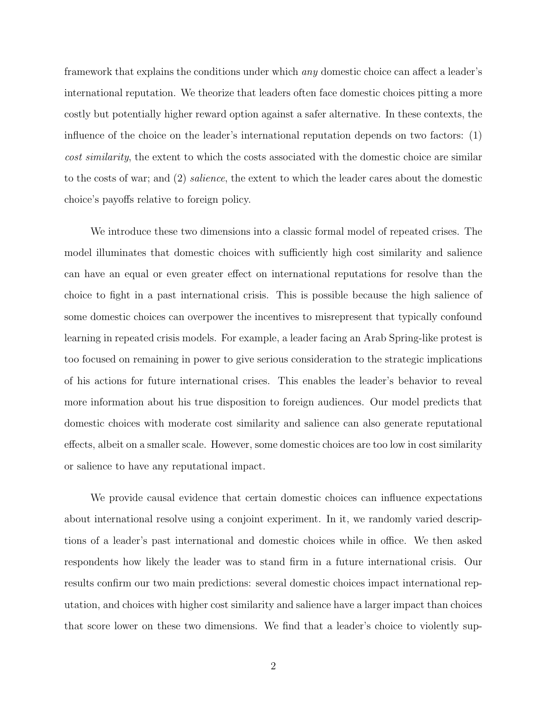framework that explains the conditions under which any domestic choice can affect a leader's international reputation. We theorize that leaders often face domestic choices pitting a more costly but potentially higher reward option against a safer alternative. In these contexts, the influence of the choice on the leader's international reputation depends on two factors: (1) cost similarity, the extent to which the costs associated with the domestic choice are similar to the costs of war; and (2) salience, the extent to which the leader cares about the domestic choice's payoffs relative to foreign policy.

We introduce these two dimensions into a classic formal model of repeated crises. The model illuminates that domestic choices with sufficiently high cost similarity and salience can have an equal or even greater effect on international reputations for resolve than the choice to fight in a past international crisis. This is possible because the high salience of some domestic choices can overpower the incentives to misrepresent that typically confound learning in repeated crisis models. For example, a leader facing an Arab Spring-like protest is too focused on remaining in power to give serious consideration to the strategic implications of his actions for future international crises. This enables the leader's behavior to reveal more information about his true disposition to foreign audiences. Our model predicts that domestic choices with moderate cost similarity and salience can also generate reputational effects, albeit on a smaller scale. However, some domestic choices are too low in cost similarity or salience to have any reputational impact.

We provide causal evidence that certain domestic choices can influence expectations about international resolve using a conjoint experiment. In it, we randomly varied descriptions of a leader's past international and domestic choices while in office. We then asked respondents how likely the leader was to stand firm in a future international crisis. Our results confirm our two main predictions: several domestic choices impact international reputation, and choices with higher cost similarity and salience have a larger impact than choices that score lower on these two dimensions. We find that a leader's choice to violently sup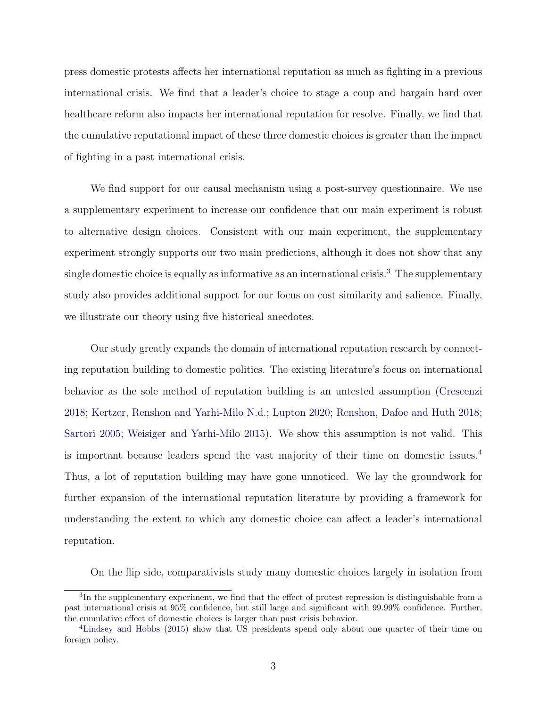press domestic protests affects her international reputation as much as fighting in a previous international crisis. We find that a leader's choice to stage a coup and bargain hard over healthcare reform also impacts her international reputation for resolve. Finally, we find that the cumulative reputational impact of these three domestic choices is greater than the impact of fighting in a past international crisis.

We find support for our causal mechanism using a post-survey questionnaire. We use a supplementary experiment to increase our confidence that our main experiment is robust to alternative design choices. Consistent with our main experiment, the supplementary experiment strongly supports our two main predictions, although it does not show that any single domestic choice is equally as informative as an international crisis.<sup>[3](#page-0-0)</sup> The supplementary study also provides additional support for our focus on cost similarity and salience. Finally, we illustrate our theory using five historical anecdotes.

Our study greatly expands the domain of international reputation research by connecting reputation building to domestic politics. The existing literature's focus on international behavior as the sole method of reputation building is an untested assumption [\(Crescenzi](#page-48-1) [2018;](#page-48-1) [Kertzer, Renshon and Yarhi-Milo](#page-50-1) [N.d.;](#page-50-1) [Lupton](#page-50-2) [2020;](#page-50-2) [Renshon, Dafoe and Huth](#page-51-2) [2018;](#page-51-2) [Sartori](#page-51-1) [2005;](#page-51-1) [Weisiger and Yarhi-Milo](#page-52-0) [2015\)](#page-52-0). We show this assumption is not valid. This is important because leaders spend the vast majority of their time on domestic issues.[4](#page-0-0) Thus, a lot of reputation building may have gone unnoticed. We lay the groundwork for further expansion of the international reputation literature by providing a framework for understanding the extent to which any domestic choice can affect a leader's international reputation.

On the flip side, comparativists study many domestic choices largely in isolation from

<sup>&</sup>lt;sup>3</sup>In the supplementary experiment, we find that the effect of protest repression is distinguishable from a past international crisis at 95% confidence, but still large and significant with 99.99% confidence. Further, the cumulative effect of domestic choices is larger than past crisis behavior.

<sup>4</sup>[Lindsey and Hobbs](#page-50-3) [\(2015\)](#page-50-3) show that US presidents spend only about one quarter of their time on foreign policy.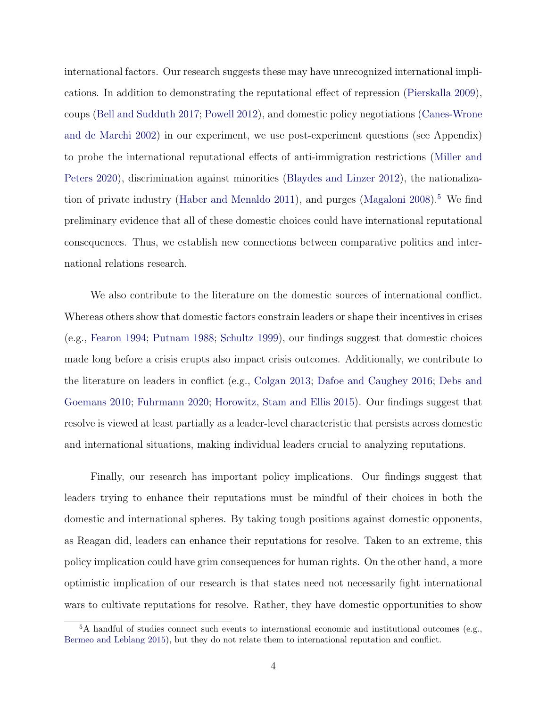international factors. Our research suggests these may have unrecognized international implications. In addition to demonstrating the reputational effect of repression [\(Pierskalla](#page-51-3) [2009\)](#page-51-3), coups [\(Bell and Sudduth](#page-47-0) [2017;](#page-47-0) [Powell](#page-51-4) [2012\)](#page-51-4), and domestic policy negotiations [\(Canes-Wrone](#page-47-1) [and de Marchi](#page-47-1) [2002\)](#page-47-1) in our experiment, we use post-experiment questions (see Appendix) to probe the international reputational effects of anti-immigration restrictions [\(Miller and](#page-50-4) [Peters](#page-50-4) [2020\)](#page-50-4), discrimination against minorities [\(Blaydes and Linzer](#page-47-2) [2012\)](#page-47-2), the nationaliza-tion of private industry [\(Haber and Menaldo](#page-48-2) [2011\)](#page-48-2), and purges [\(Magaloni](#page-50-5)  $2008$ ).<sup>[5](#page-0-0)</sup> We find preliminary evidence that all of these domestic choices could have international reputational consequences. Thus, we establish new connections between comparative politics and international relations research.

We also contribute to the literature on the domestic sources of international conflict. Whereas others show that domestic factors constrain leaders or shape their incentives in crises (e.g., [Fearon](#page-48-3) [1994;](#page-48-3) [Putnam](#page-51-5) [1988;](#page-51-5) [Schultz](#page-51-6) [1999\)](#page-51-6), our findings suggest that domestic choices made long before a crisis erupts also impact crisis outcomes. Additionally, we contribute to the literature on leaders in conflict (e.g., [Colgan](#page-48-4) [2013;](#page-48-4) [Dafoe and Caughey](#page-48-5) [2016;](#page-48-5) [Debs and](#page-48-6) [Goemans](#page-48-6) [2010;](#page-48-6) [Fuhrmann](#page-48-7) [2020;](#page-48-7) [Horowitz, Stam and Ellis](#page-49-1) [2015\)](#page-49-1). Our findings suggest that resolve is viewed at least partially as a leader-level characteristic that persists across domestic and international situations, making individual leaders crucial to analyzing reputations.

Finally, our research has important policy implications. Our findings suggest that leaders trying to enhance their reputations must be mindful of their choices in both the domestic and international spheres. By taking tough positions against domestic opponents, as Reagan did, leaders can enhance their reputations for resolve. Taken to an extreme, this policy implication could have grim consequences for human rights. On the other hand, a more optimistic implication of our research is that states need not necessarily fight international wars to cultivate reputations for resolve. Rather, they have domestic opportunities to show

 $5A$  handful of studies connect such events to international economic and institutional outcomes (e.g., [Bermeo and Leblang](#page-47-3) [2015\)](#page-47-3), but they do not relate them to international reputation and conflict.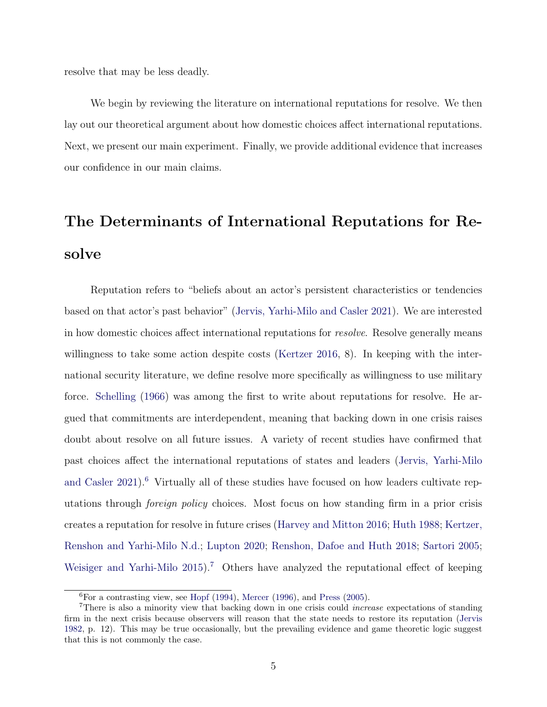resolve that may be less deadly.

We begin by reviewing the literature on international reputations for resolve. We then lay out our theoretical argument about how domestic choices affect international reputations. Next, we present our main experiment. Finally, we provide additional evidence that increases our confidence in our main claims.

# The Determinants of International Reputations for Resolve

Reputation refers to "beliefs about an actor's persistent characteristics or tendencies based on that actor's past behavior" [\(Jervis, Yarhi-Milo and Casler](#page-49-0) [2021\)](#page-49-0). We are interested in how domestic choices affect international reputations for resolve. Resolve generally means willingness to take some action despite costs [\(Kertzer](#page-49-2) [2016,](#page-49-2) 8). In keeping with the international security literature, we define resolve more specifically as willingness to use military force. [Schelling](#page-51-7) [\(1966\)](#page-51-7) was among the first to write about reputations for resolve. He argued that commitments are interdependent, meaning that backing down in one crisis raises doubt about resolve on all future issues. A variety of recent studies have confirmed that past choices affect the international reputations of states and leaders [\(Jervis, Yarhi-Milo](#page-49-0) [and Casler](#page-49-0) [2021\)](#page-49-0).<sup>[6](#page-0-0)</sup> Virtually all of these studies have focused on how leaders cultivate reputations through foreign policy choices. Most focus on how standing firm in a prior crisis creates a reputation for resolve in future crises [\(Harvey and Mitton](#page-49-3) [2016;](#page-49-3) [Huth](#page-49-4) [1988;](#page-49-4) [Kertzer,](#page-50-1) [Renshon and Yarhi-Milo](#page-50-1) [N.d.;](#page-50-1) [Lupton](#page-50-2) [2020;](#page-50-2) [Renshon, Dafoe and Huth](#page-51-2) [2018;](#page-51-2) [Sartori](#page-51-1) [2005;](#page-51-1) [Weisiger and Yarhi-Milo](#page-52-0) [2015\)](#page-52-0).<sup>[7](#page-0-0)</sup> Others have analyzed the reputational effect of keeping

 ${}^{6}$ For a contrasting view, see [Hopf](#page-49-5) [\(1994\)](#page-49-5), [Mercer](#page-50-6) [\(1996\)](#page-50-6), and [Press](#page-51-8) [\(2005\)](#page-51-8).

<sup>&</sup>lt;sup>7</sup>There is also a minority view that backing down in one crisis could *increase* expectations of standing firm in the next crisis because observers will reason that the state needs to restore its reputation [\(Jervis](#page-49-6) [1982,](#page-49-6) p. 12). This may be true occasionally, but the prevailing evidence and game theoretic logic suggest that this is not commonly the case.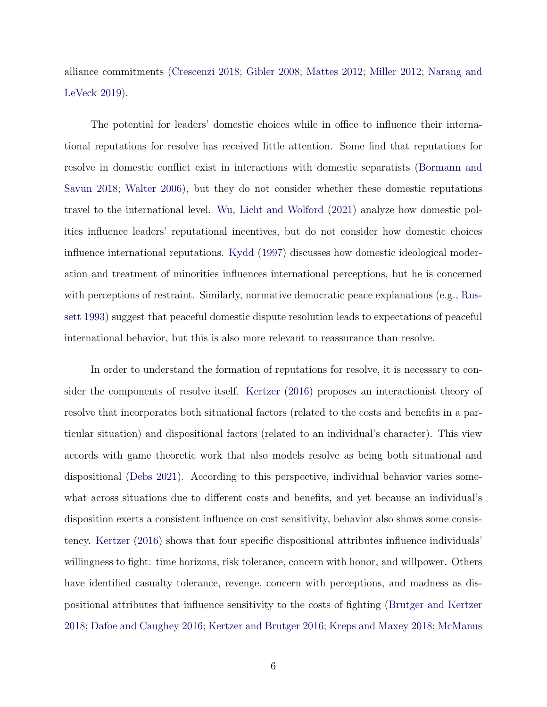alliance commitments [\(Crescenzi](#page-48-1) [2018;](#page-48-1) [Gibler](#page-48-8) [2008;](#page-48-8) [Mattes](#page-50-7) [2012;](#page-50-7) [Miller](#page-50-8) [2012;](#page-50-8) [Narang and](#page-51-9) [LeVeck](#page-51-9) [2019\)](#page-51-9).

The potential for leaders' domestic choices while in office to influence their international reputations for resolve has received little attention. Some find that reputations for resolve in domestic conflict exist in interactions with domestic separatists [\(Bormann and](#page-47-4) [Savun](#page-47-4) [2018;](#page-47-4) [Walter](#page-52-3) [2006\)](#page-52-3), but they do not consider whether these domestic reputations travel to the international level. [Wu, Licht and Wolford](#page-52-4) [\(2021\)](#page-52-4) analyze how domestic politics influence leaders' reputational incentives, but do not consider how domestic choices influence international reputations. [Kydd](#page-50-9) [\(1997\)](#page-50-9) discusses how domestic ideological moderation and treatment of minorities influences international perceptions, but he is concerned with perceptions of restraint. Similarly, normative democratic peace explanations (e.g., [Rus](#page-51-10)[sett](#page-51-10) [1993\)](#page-51-10) suggest that peaceful domestic dispute resolution leads to expectations of peaceful international behavior, but this is also more relevant to reassurance than resolve.

In order to understand the formation of reputations for resolve, it is necessary to consider the components of resolve itself. [Kertzer](#page-49-2) [\(2016\)](#page-49-2) proposes an interactionist theory of resolve that incorporates both situational factors (related to the costs and benefits in a particular situation) and dispositional factors (related to an individual's character). This view accords with game theoretic work that also models resolve as being both situational and dispositional [\(Debs](#page-48-9) [2021\)](#page-48-9). According to this perspective, individual behavior varies somewhat across situations due to different costs and benefits, and yet because an individual's disposition exerts a consistent influence on cost sensitivity, behavior also shows some consistency. [Kertzer](#page-49-2) [\(2016\)](#page-49-2) shows that four specific dispositional attributes influence individuals' willingness to fight: time horizons, risk tolerance, concern with honor, and willpower. Others have identified casualty tolerance, revenge, concern with perceptions, and madness as dispositional attributes that influence sensitivity to the costs of fighting [\(Brutger and Kertzer](#page-47-5) [2018;](#page-47-5) [Dafoe and Caughey](#page-48-5) [2016;](#page-48-5) [Kertzer and Brutger](#page-50-10) [2016;](#page-50-10) [Kreps and Maxey](#page-50-11) [2018;](#page-50-11) [McManus](#page-50-12)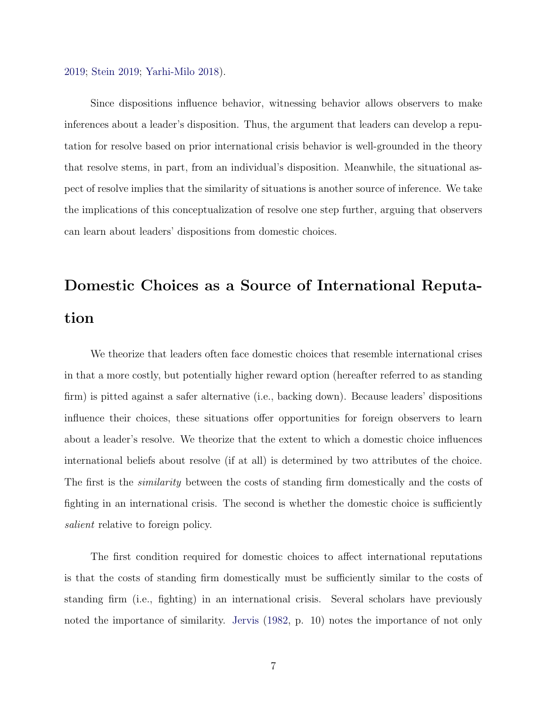[2019;](#page-50-12) [Stein](#page-51-11) [2019;](#page-51-11) [Yarhi-Milo](#page-52-5) [2018\)](#page-52-5).

Since dispositions influence behavior, witnessing behavior allows observers to make inferences about a leader's disposition. Thus, the argument that leaders can develop a reputation for resolve based on prior international crisis behavior is well-grounded in the theory that resolve stems, in part, from an individual's disposition. Meanwhile, the situational aspect of resolve implies that the similarity of situations is another source of inference. We take the implications of this conceptualization of resolve one step further, arguing that observers can learn about leaders' dispositions from domestic choices.

# Domestic Choices as a Source of International Reputation

We theorize that leaders often face domestic choices that resemble international crises in that a more costly, but potentially higher reward option (hereafter referred to as standing firm) is pitted against a safer alternative (i.e., backing down). Because leaders' dispositions influence their choices, these situations offer opportunities for foreign observers to learn about a leader's resolve. We theorize that the extent to which a domestic choice influences international beliefs about resolve (if at all) is determined by two attributes of the choice. The first is the *similarity* between the costs of standing firm domestically and the costs of fighting in an international crisis. The second is whether the domestic choice is sufficiently salient relative to foreign policy.

The first condition required for domestic choices to affect international reputations is that the costs of standing firm domestically must be sufficiently similar to the costs of standing firm (i.e., fighting) in an international crisis. Several scholars have previously noted the importance of similarity. [Jervis](#page-49-6) [\(1982,](#page-49-6) p. 10) notes the importance of not only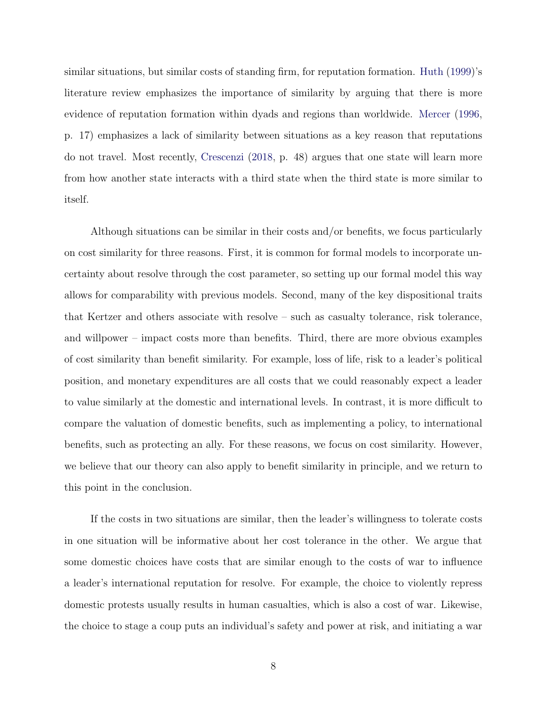similar situations, but similar costs of standing firm, for reputation formation. [Huth](#page-49-7) [\(1999\)](#page-49-7)'s literature review emphasizes the importance of similarity by arguing that there is more evidence of reputation formation within dyads and regions than worldwide. [Mercer](#page-50-6) [\(1996,](#page-50-6) p. 17) emphasizes a lack of similarity between situations as a key reason that reputations do not travel. Most recently, [Crescenzi](#page-48-1) [\(2018,](#page-48-1) p. 48) argues that one state will learn more from how another state interacts with a third state when the third state is more similar to itself.

Although situations can be similar in their costs and/or benefits, we focus particularly on cost similarity for three reasons. First, it is common for formal models to incorporate uncertainty about resolve through the cost parameter, so setting up our formal model this way allows for comparability with previous models. Second, many of the key dispositional traits that Kertzer and others associate with resolve – such as casualty tolerance, risk tolerance, and willpower – impact costs more than benefits. Third, there are more obvious examples of cost similarity than benefit similarity. For example, loss of life, risk to a leader's political position, and monetary expenditures are all costs that we could reasonably expect a leader to value similarly at the domestic and international levels. In contrast, it is more difficult to compare the valuation of domestic benefits, such as implementing a policy, to international benefits, such as protecting an ally. For these reasons, we focus on cost similarity. However, we believe that our theory can also apply to benefit similarity in principle, and we return to this point in the conclusion.

If the costs in two situations are similar, then the leader's willingness to tolerate costs in one situation will be informative about her cost tolerance in the other. We argue that some domestic choices have costs that are similar enough to the costs of war to influence a leader's international reputation for resolve. For example, the choice to violently repress domestic protests usually results in human casualties, which is also a cost of war. Likewise, the choice to stage a coup puts an individual's safety and power at risk, and initiating a war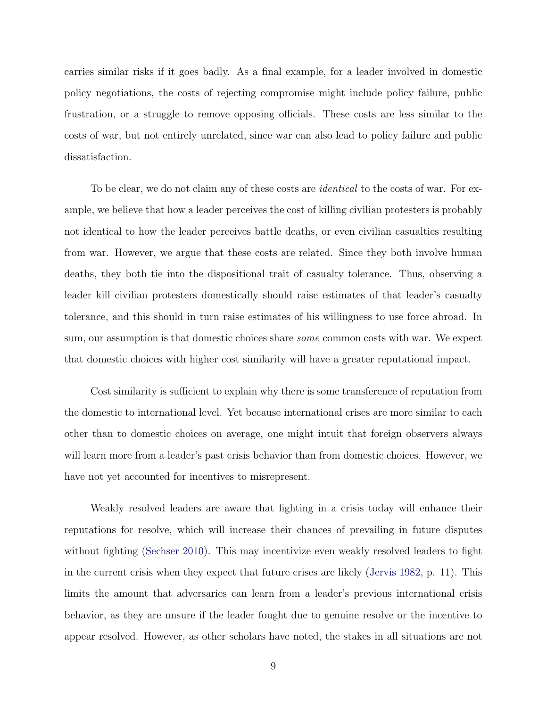carries similar risks if it goes badly. As a final example, for a leader involved in domestic policy negotiations, the costs of rejecting compromise might include policy failure, public frustration, or a struggle to remove opposing officials. These costs are less similar to the costs of war, but not entirely unrelated, since war can also lead to policy failure and public dissatisfaction.

To be clear, we do not claim any of these costs are *identical* to the costs of war. For example, we believe that how a leader perceives the cost of killing civilian protesters is probably not identical to how the leader perceives battle deaths, or even civilian casualties resulting from war. However, we argue that these costs are related. Since they both involve human deaths, they both tie into the dispositional trait of casualty tolerance. Thus, observing a leader kill civilian protesters domestically should raise estimates of that leader's casualty tolerance, and this should in turn raise estimates of his willingness to use force abroad. In sum, our assumption is that domestic choices share *some* common costs with war. We expect that domestic choices with higher cost similarity will have a greater reputational impact.

Cost similarity is sufficient to explain why there is some transference of reputation from the domestic to international level. Yet because international crises are more similar to each other than to domestic choices on average, one might intuit that foreign observers always will learn more from a leader's past crisis behavior than from domestic choices. However, we have not yet accounted for incentives to misrepresent.

Weakly resolved leaders are aware that fighting in a crisis today will enhance their reputations for resolve, which will increase their chances of prevailing in future disputes without fighting [\(Sechser](#page-51-12) [2010\)](#page-51-12). This may incentivize even weakly resolved leaders to fight in the current crisis when they expect that future crises are likely [\(Jervis](#page-49-6) [1982,](#page-49-6) p. 11). This limits the amount that adversaries can learn from a leader's previous international crisis behavior, as they are unsure if the leader fought due to genuine resolve or the incentive to appear resolved. However, as other scholars have noted, the stakes in all situations are not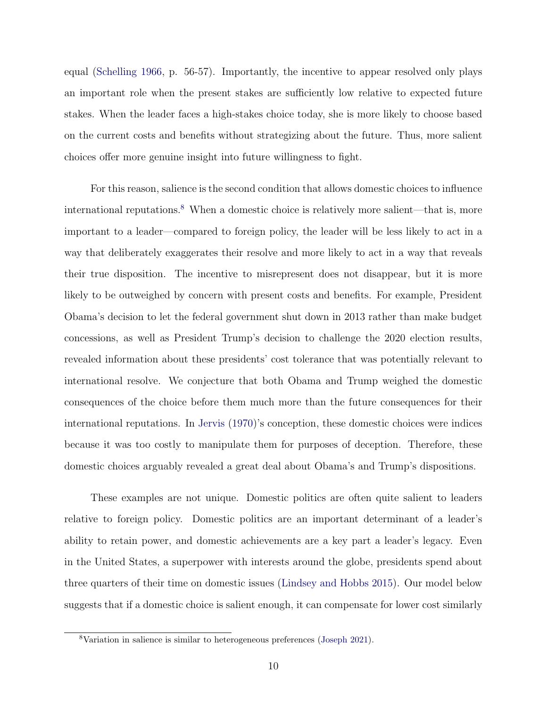equal [\(Schelling](#page-51-7) [1966,](#page-51-7) p. 56-57). Importantly, the incentive to appear resolved only plays an important role when the present stakes are sufficiently low relative to expected future stakes. When the leader faces a high-stakes choice today, she is more likely to choose based on the current costs and benefits without strategizing about the future. Thus, more salient choices offer more genuine insight into future willingness to fight.

For this reason, salience is the second condition that allows domestic choices to influence international reputations.<sup>[8](#page-0-0)</sup> When a domestic choice is relatively more salient—that is, more important to a leader—compared to foreign policy, the leader will be less likely to act in a way that deliberately exaggerates their resolve and more likely to act in a way that reveals their true disposition. The incentive to misrepresent does not disappear, but it is more likely to be outweighed by concern with present costs and benefits. For example, President Obama's decision to let the federal government shut down in 2013 rather than make budget concessions, as well as President Trump's decision to challenge the 2020 election results, revealed information about these presidents' cost tolerance that was potentially relevant to international resolve. We conjecture that both Obama and Trump weighed the domestic consequences of the choice before them much more than the future consequences for their international reputations. In [Jervis](#page-49-8) [\(1970\)](#page-49-8)'s conception, these domestic choices were indices because it was too costly to manipulate them for purposes of deception. Therefore, these domestic choices arguably revealed a great deal about Obama's and Trump's dispositions.

These examples are not unique. Domestic politics are often quite salient to leaders relative to foreign policy. Domestic politics are an important determinant of a leader's ability to retain power, and domestic achievements are a key part a leader's legacy. Even in the United States, a superpower with interests around the globe, presidents spend about three quarters of their time on domestic issues [\(Lindsey and Hobbs](#page-50-3) [2015\)](#page-50-3). Our model below suggests that if a domestic choice is salient enough, it can compensate for lower cost similarly

<sup>8</sup>Variation in salience is similar to heterogeneous preferences [\(Joseph](#page-49-9) [2021\)](#page-49-9).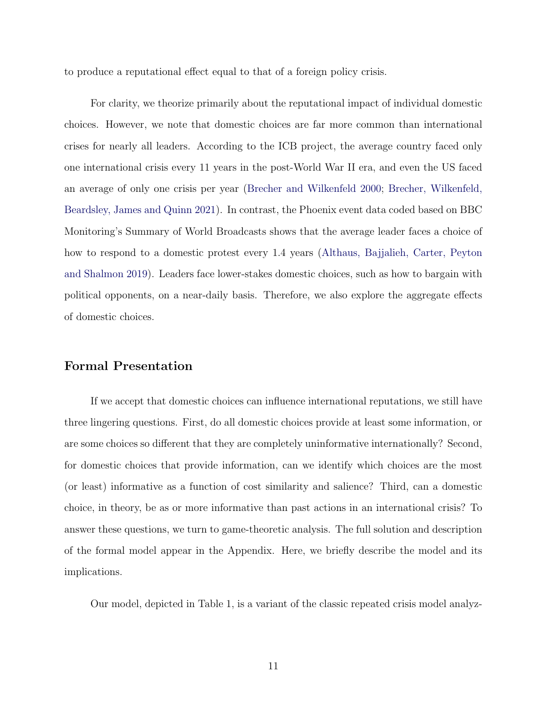to produce a reputational effect equal to that of a foreign policy crisis.

For clarity, we theorize primarily about the reputational impact of individual domestic choices. However, we note that domestic choices are far more common than international crises for nearly all leaders. According to the ICB project, the average country faced only one international crisis every 11 years in the post-World War II era, and even the US faced an average of only one crisis per year [\(Brecher and Wilkenfeld](#page-47-6) [2000;](#page-47-6) [Brecher, Wilkenfeld,](#page-47-7) [Beardsley, James and Quinn](#page-47-7) [2021\)](#page-47-7). In contrast, the Phoenix event data coded based on BBC Monitoring's Summary of World Broadcasts shows that the average leader faces a choice of how to respond to a domestic protest every 1.4 years [\(Althaus, Bajjalieh, Carter, Peyton](#page-47-8) [and Shalmon](#page-47-8) [2019\)](#page-47-8). Leaders face lower-stakes domestic choices, such as how to bargain with political opponents, on a near-daily basis. Therefore, we also explore the aggregate effects of domestic choices.

#### Formal Presentation

If we accept that domestic choices can influence international reputations, we still have three lingering questions. First, do all domestic choices provide at least some information, or are some choices so different that they are completely uninformative internationally? Second, for domestic choices that provide information, can we identify which choices are the most (or least) informative as a function of cost similarity and salience? Third, can a domestic choice, in theory, be as or more informative than past actions in an international crisis? To answer these questions, we turn to game-theoretic analysis. The full solution and description of the formal model appear in the Appendix. Here, we briefly describe the model and its implications.

Our model, depicted in Table 1, is a variant of the classic repeated crisis model analyz-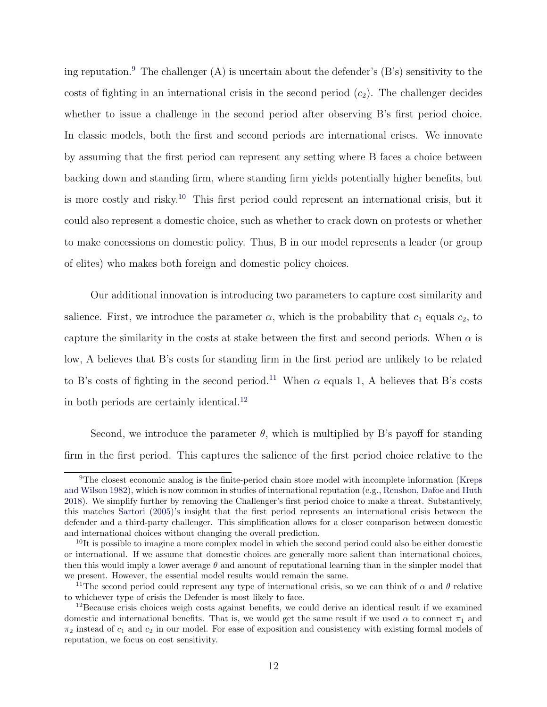ing reputation.<sup>[9](#page-0-0)</sup> The challenger  $(A)$  is uncertain about the defender's  $(B's)$  sensitivity to the costs of fighting in an international crisis in the second period  $(c_2)$ . The challenger decides whether to issue a challenge in the second period after observing B's first period choice. In classic models, both the first and second periods are international crises. We innovate by assuming that the first period can represent any setting where B faces a choice between backing down and standing firm, where standing firm yields potentially higher benefits, but is more costly and risky.[10](#page-0-0) This first period could represent an international crisis, but it could also represent a domestic choice, such as whether to crack down on protests or whether to make concessions on domestic policy. Thus, B in our model represents a leader (or group of elites) who makes both foreign and domestic policy choices.

Our additional innovation is introducing two parameters to capture cost similarity and salience. First, we introduce the parameter  $\alpha$ , which is the probability that  $c_1$  equals  $c_2$ , to capture the similarity in the costs at stake between the first and second periods. When  $\alpha$  is low, A believes that B's costs for standing firm in the first period are unlikely to be related to B's costs of fighting in the second period.<sup>[11](#page-0-0)</sup> When  $\alpha$  equals 1, A believes that B's costs in both periods are certainly identical.[12](#page-0-0)

Second, we introduce the parameter  $\theta$ , which is multiplied by B's payoff for standing firm in the first period. This captures the salience of the first period choice relative to the

<sup>&</sup>lt;sup>9</sup>The closest economic analog is the finite-period chain store model with incomplete information [\(Kreps](#page-50-13) [and Wilson](#page-50-13) [1982\)](#page-50-13), which is now common in studies of international reputation (e.g., [Renshon, Dafoe and Huth](#page-51-2) [2018\)](#page-51-2). We simplify further by removing the Challenger's first period choice to make a threat. Substantively, this matches [Sartori](#page-51-1) [\(2005\)](#page-51-1)'s insight that the first period represents an international crisis between the defender and a third-party challenger. This simplification allows for a closer comparison between domestic and international choices without changing the overall prediction.

 $10$ It is possible to imagine a more complex model in which the second period could also be either domestic or international. If we assume that domestic choices are generally more salient than international choices, then this would imply a lower average  $\theta$  and amount of reputational learning than in the simpler model that we present. However, the essential model results would remain the same.

<sup>&</sup>lt;sup>11</sup>The second period could represent any type of international crisis, so we can think of  $\alpha$  and  $\theta$  relative to whichever type of crisis the Defender is most likely to face.

<sup>12</sup>Because crisis choices weigh costs against benefits, we could derive an identical result if we examined domestic and international benefits. That is, we would get the same result if we used  $\alpha$  to connect  $\pi_1$  and  $\pi_2$  instead of  $c_1$  and  $c_2$  in our model. For ease of exposition and consistency with existing formal models of reputation, we focus on cost sensitivity.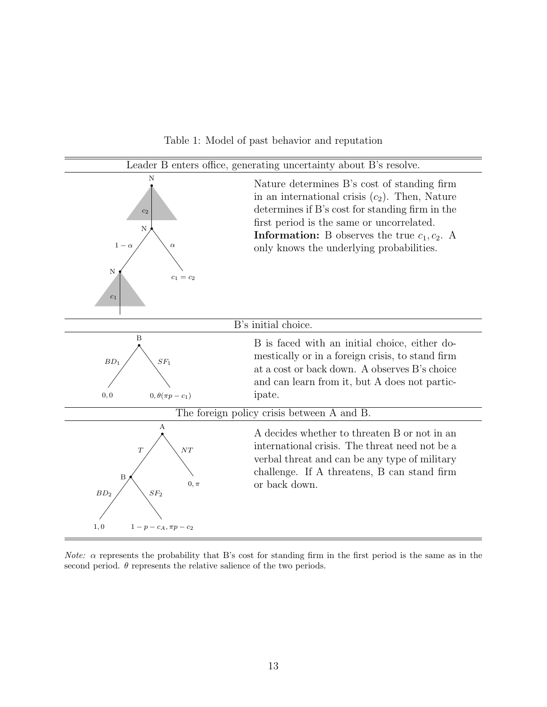Table 1: Model of past behavior and reputation



*Note:*  $\alpha$  represents the probability that B's cost for standing firm in the first period is the same as in the second period.  $\theta$  represents the relative salience of the two periods.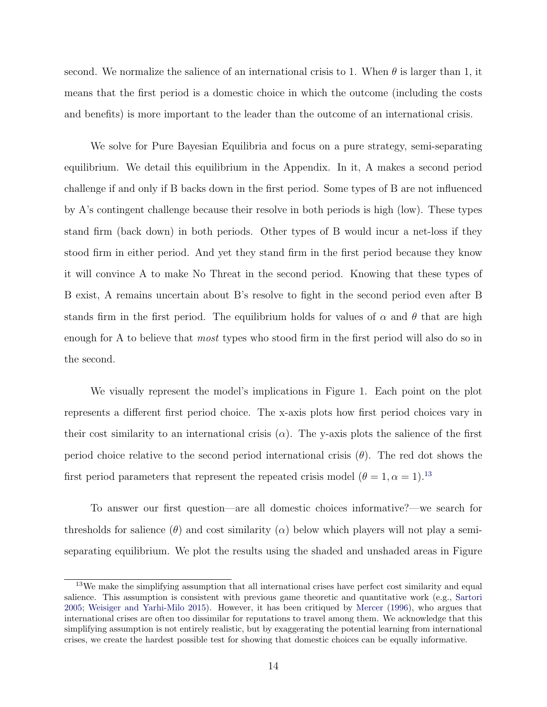second. We normalize the salience of an international crisis to 1. When  $\theta$  is larger than 1, it means that the first period is a domestic choice in which the outcome (including the costs and benefits) is more important to the leader than the outcome of an international crisis.

We solve for Pure Bayesian Equilibria and focus on a pure strategy, semi-separating equilibrium. We detail this equilibrium in the Appendix. In it, A makes a second period challenge if and only if B backs down in the first period. Some types of B are not influenced by A's contingent challenge because their resolve in both periods is high (low). These types stand firm (back down) in both periods. Other types of B would incur a net-loss if they stood firm in either period. And yet they stand firm in the first period because they know it will convince A to make No Threat in the second period. Knowing that these types of B exist, A remains uncertain about B's resolve to fight in the second period even after B stands firm in the first period. The equilibrium holds for values of  $\alpha$  and  $\theta$  that are high enough for A to believe that *most* types who stood firm in the first period will also do so in the second.

We visually represent the model's implications in Figure 1. Each point on the plot represents a different first period choice. The x-axis plots how first period choices vary in their cost similarity to an international crisis  $(\alpha)$ . The y-axis plots the salience of the first period choice relative to the second period international crisis  $(\theta)$ . The red dot shows the first period parameters that represent the repeated crisis model  $(\theta = 1, \alpha = 1)$ .<sup>[13](#page-0-0)</sup>

To answer our first question—are all domestic choices informative?—we search for thresholds for salience  $(\theta)$  and cost similarity  $(\alpha)$  below which players will not play a semiseparating equilibrium. We plot the results using the shaded and unshaded areas in Figure

<sup>&</sup>lt;sup>13</sup>We make the simplifying assumption that all international crises have perfect cost similarity and equal salience. This assumption is consistent with previous game theoretic and quantitative work (e.g., [Sartori](#page-51-1) [2005;](#page-51-1) [Weisiger and Yarhi-Milo](#page-52-0) [2015\)](#page-52-0). However, it has been critiqued by [Mercer](#page-50-6) [\(1996\)](#page-50-6), who argues that international crises are often too dissimilar for reputations to travel among them. We acknowledge that this simplifying assumption is not entirely realistic, but by exaggerating the potential learning from international crises, we create the hardest possible test for showing that domestic choices can be equally informative.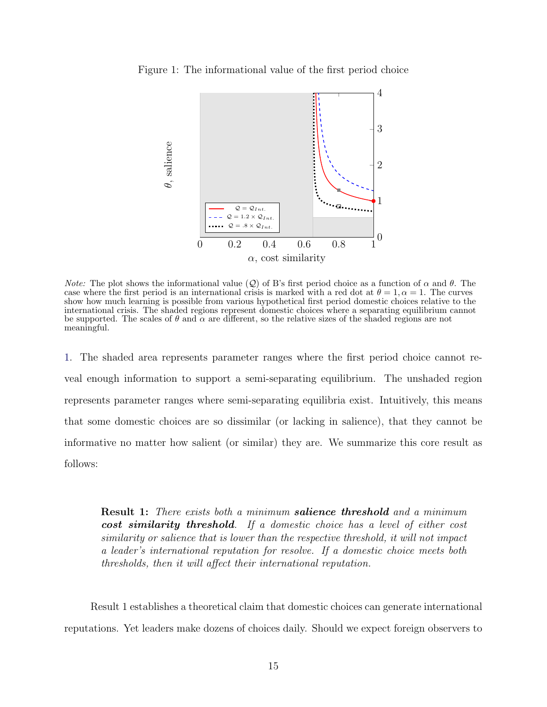<span id="page-16-0"></span>Figure 1: The informational value of the first period choice



*Note:* The plot shows the informational value (Q) of B's first period choice as a function of  $\alpha$  and  $\theta$ . The case where the first period is an international crisis is marked with a red dot at  $\theta = 1, \alpha = 1$ . The curves show how much learning is possible from various hypothetical first period domestic choices relative to the international crisis. The shaded regions represent domestic choices where a separating equilibrium cannot be supported. The scales of  $\theta$  and  $\alpha$  are different, so the relative sizes of the shaded regions are not meaningful.

[1.](#page-16-0) The shaded area represents parameter ranges where the first period choice cannot reveal enough information to support a semi-separating equilibrium. The unshaded region represents parameter ranges where semi-separating equilibria exist. Intuitively, this means that some domestic choices are so dissimilar (or lacking in salience), that they cannot be informative no matter how salient (or similar) they are. We summarize this core result as follows:

**Result 1:** There exists both a minimum **salience threshold** and a minimum cost similarity threshold. If a domestic choice has a level of either cost similarity or salience that is lower than the respective threshold, it will not impact a leader's international reputation for resolve. If a domestic choice meets both thresholds, then it will affect their international reputation.

Result 1 establishes a theoretical claim that domestic choices can generate international reputations. Yet leaders make dozens of choices daily. Should we expect foreign observers to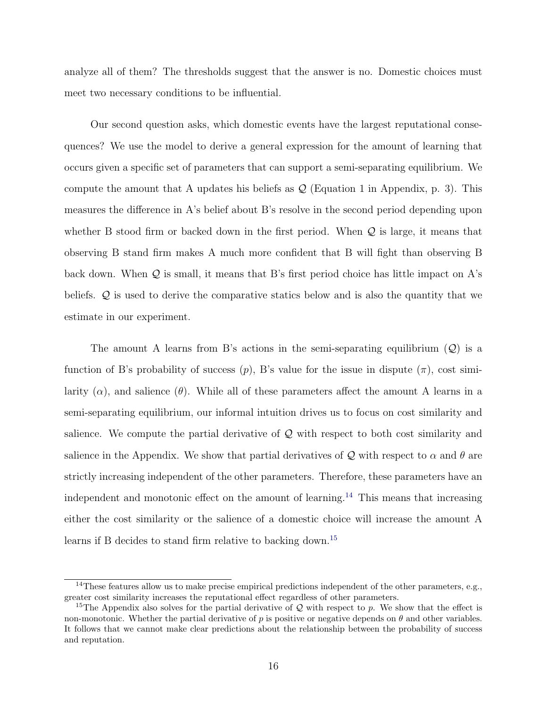analyze all of them? The thresholds suggest that the answer is no. Domestic choices must meet two necessary conditions to be influential.

Our second question asks, which domestic events have the largest reputational consequences? We use the model to derive a general expression for the amount of learning that occurs given a specific set of parameters that can support a semi-separating equilibrium. We compute the amount that A updates his beliefs as  $\mathcal{Q}$  (Equation 1 in Appendix, p. 3). This measures the difference in A's belief about B's resolve in the second period depending upon whether B stood firm or backed down in the first period. When  $Q$  is large, it means that observing B stand firm makes A much more confident that B will fight than observing B back down. When  $Q$  is small, it means that B's first period choice has little impact on A's beliefs. Q is used to derive the comparative statics below and is also the quantity that we estimate in our experiment.

The amount A learns from B's actions in the semi-separating equilibrium  $(Q)$  is a function of B's probability of success  $(p)$ , B's value for the issue in dispute  $(\pi)$ , cost similarity  $(\alpha)$ , and salience  $(\theta)$ . While all of these parameters affect the amount A learns in a semi-separating equilibrium, our informal intuition drives us to focus on cost similarity and salience. We compute the partial derivative of  $\mathcal Q$  with respect to both cost similarity and salience in the Appendix. We show that partial derivatives of Q with respect to  $\alpha$  and  $\theta$  are strictly increasing independent of the other parameters. Therefore, these parameters have an independent and monotonic effect on the amount of learning.[14](#page-0-0) This means that increasing either the cost similarity or the salience of a domestic choice will increase the amount A learns if B decides to stand firm relative to backing down.[15](#page-0-0)

<sup>&</sup>lt;sup>14</sup>These features allow us to make precise empirical predictions independent of the other parameters, e.g., greater cost similarity increases the reputational effect regardless of other parameters.

<sup>&</sup>lt;sup>15</sup>The Appendix also solves for the partial derivative of  $Q$  with respect to p. We show that the effect is non-monotonic. Whether the partial derivative of p is positive or negative depends on  $\theta$  and other variables. It follows that we cannot make clear predictions about the relationship between the probability of success and reputation.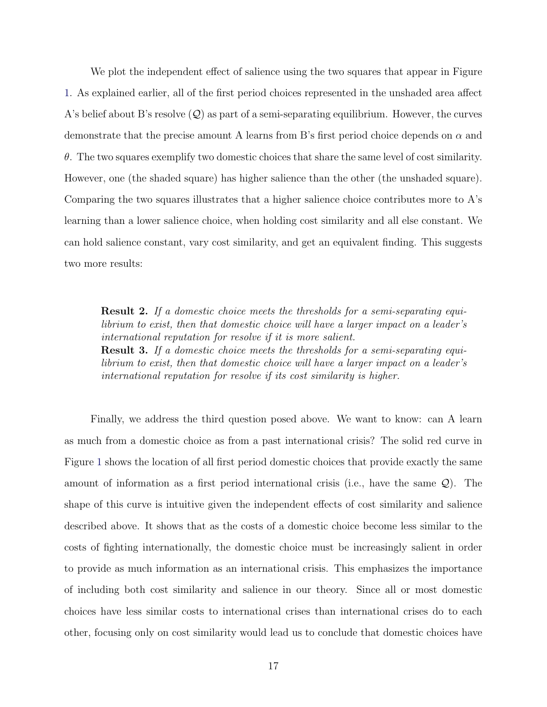We plot the independent effect of salience using the two squares that appear in Figure [1.](#page-16-0) As explained earlier, all of the first period choices represented in the unshaded area affect A's belief about B's resolve  $(Q)$  as part of a semi-separating equilibrium. However, the curves demonstrate that the precise amount A learns from B's first period choice depends on  $\alpha$  and  $\theta$ . The two squares exemplify two domestic choices that share the same level of cost similarity. However, one (the shaded square) has higher salience than the other (the unshaded square). Comparing the two squares illustrates that a higher salience choice contributes more to A's learning than a lower salience choice, when holding cost similarity and all else constant. We can hold salience constant, vary cost similarity, and get an equivalent finding. This suggests two more results:

Result 2. If a domestic choice meets the thresholds for a semi-separating equilibrium to exist, then that domestic choice will have a larger impact on a leader's international reputation for resolve if it is more salient. Result 3. If a domestic choice meets the thresholds for a semi-separating equilibrium to exist, then that domestic choice will have a larger impact on a leader's international reputation for resolve if its cost similarity is higher.

Finally, we address the third question posed above. We want to know: can A learn as much from a domestic choice as from a past international crisis? The solid red curve in Figure [1](#page-16-0) shows the location of all first period domestic choices that provide exactly the same amount of information as a first period international crisis (i.e., have the same  $\mathcal{Q}$ ). The shape of this curve is intuitive given the independent effects of cost similarity and salience described above. It shows that as the costs of a domestic choice become less similar to the costs of fighting internationally, the domestic choice must be increasingly salient in order to provide as much information as an international crisis. This emphasizes the importance of including both cost similarity and salience in our theory. Since all or most domestic choices have less similar costs to international crises than international crises do to each other, focusing only on cost similarity would lead us to conclude that domestic choices have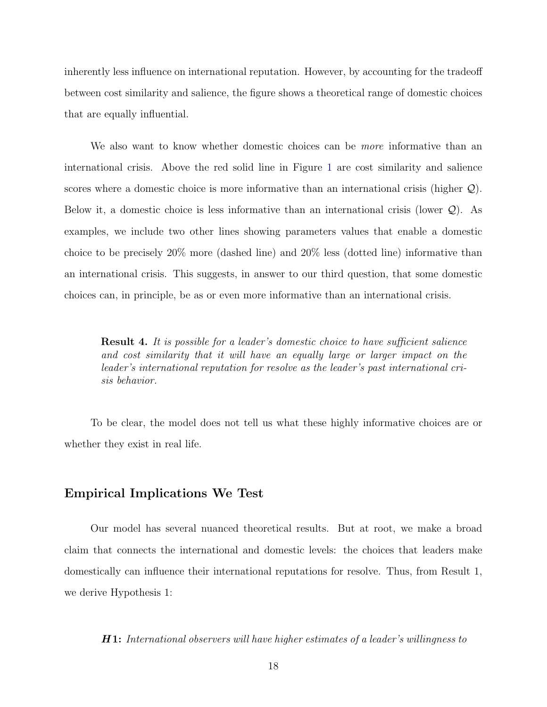inherently less influence on international reputation. However, by accounting for the tradeoff between cost similarity and salience, the figure shows a theoretical range of domestic choices that are equally influential.

We also want to know whether domestic choices can be *more* informative than an international crisis. Above the red solid line in Figure [1](#page-16-0) are cost similarity and salience scores where a domestic choice is more informative than an international crisis (higher  $Q$ ). Below it, a domestic choice is less informative than an international crisis (lower  $\mathcal{Q}$ ). As examples, we include two other lines showing parameters values that enable a domestic choice to be precisely 20% more (dashed line) and 20% less (dotted line) informative than an international crisis. This suggests, in answer to our third question, that some domestic choices can, in principle, be as or even more informative than an international crisis.

Result 4. It is possible for a leader's domestic choice to have sufficient salience and cost similarity that it will have an equally large or larger impact on the leader's international reputation for resolve as the leader's past international crisis behavior.

To be clear, the model does not tell us what these highly informative choices are or whether they exist in real life.

#### Empirical Implications We Test

Our model has several nuanced theoretical results. But at root, we make a broad claim that connects the international and domestic levels: the choices that leaders make domestically can influence their international reputations for resolve. Thus, from Result 1, we derive Hypothesis 1:

H 1: International observers will have higher estimates of a leader's willingness to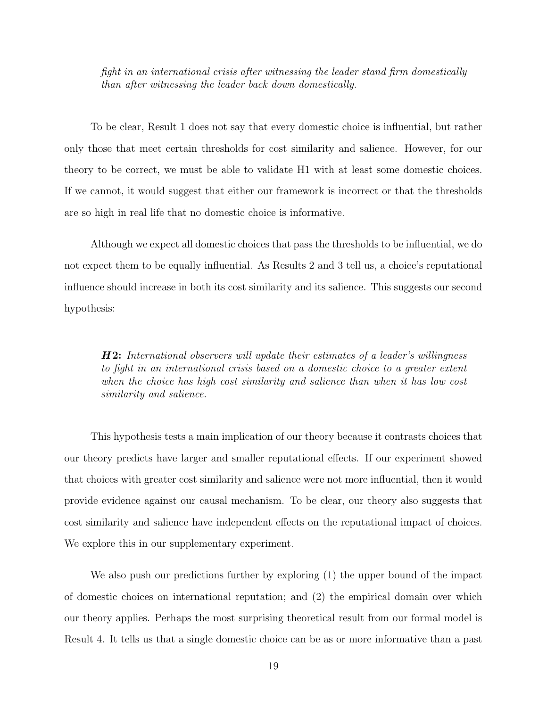fight in an international crisis after witnessing the leader stand firm domestically than after witnessing the leader back down domestically.

To be clear, Result 1 does not say that every domestic choice is influential, but rather only those that meet certain thresholds for cost similarity and salience. However, for our theory to be correct, we must be able to validate H1 with at least some domestic choices. If we cannot, it would suggest that either our framework is incorrect or that the thresholds are so high in real life that no domestic choice is informative.

Although we expect all domestic choices that pass the thresholds to be influential, we do not expect them to be equally influential. As Results 2 and 3 tell us, a choice's reputational influence should increase in both its cost similarity and its salience. This suggests our second hypothesis:

 $H2:$  International observers will update their estimates of a leader's willingness to fight in an international crisis based on a domestic choice to a greater extent when the choice has high cost similarity and salience than when it has low cost similarity and salience.

This hypothesis tests a main implication of our theory because it contrasts choices that our theory predicts have larger and smaller reputational effects. If our experiment showed that choices with greater cost similarity and salience were not more influential, then it would provide evidence against our causal mechanism. To be clear, our theory also suggests that cost similarity and salience have independent effects on the reputational impact of choices. We explore this in our supplementary experiment.

We also push our predictions further by exploring (1) the upper bound of the impact of domestic choices on international reputation; and (2) the empirical domain over which our theory applies. Perhaps the most surprising theoretical result from our formal model is Result 4. It tells us that a single domestic choice can be as or more informative than a past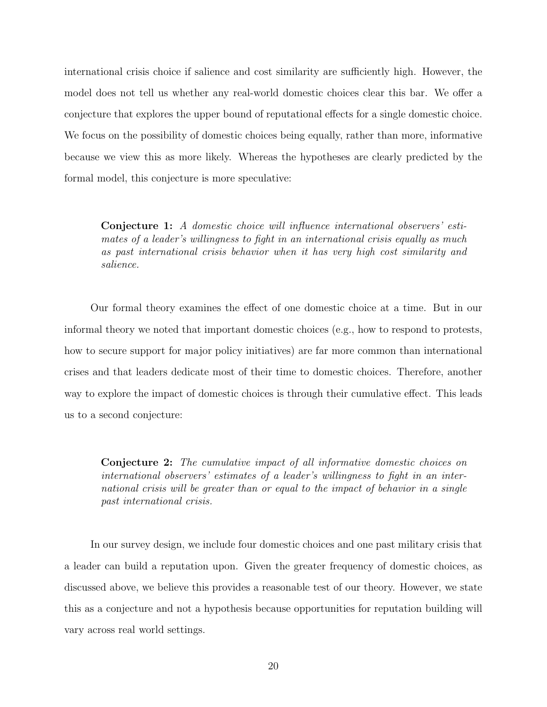international crisis choice if salience and cost similarity are sufficiently high. However, the model does not tell us whether any real-world domestic choices clear this bar. We offer a conjecture that explores the upper bound of reputational effects for a single domestic choice. We focus on the possibility of domestic choices being equally, rather than more, informative because we view this as more likely. Whereas the hypotheses are clearly predicted by the formal model, this conjecture is more speculative:

Conjecture 1: A domestic choice will influence international observers' estimates of a leader's willingness to fight in an international crisis equally as much as past international crisis behavior when it has very high cost similarity and salience.

Our formal theory examines the effect of one domestic choice at a time. But in our informal theory we noted that important domestic choices (e.g., how to respond to protests, how to secure support for major policy initiatives) are far more common than international crises and that leaders dedicate most of their time to domestic choices. Therefore, another way to explore the impact of domestic choices is through their cumulative effect. This leads us to a second conjecture:

Conjecture 2: The cumulative impact of all informative domestic choices on international observers' estimates of a leader's willingness to fight in an international crisis will be greater than or equal to the impact of behavior in a single past international crisis.

In our survey design, we include four domestic choices and one past military crisis that a leader can build a reputation upon. Given the greater frequency of domestic choices, as discussed above, we believe this provides a reasonable test of our theory. However, we state this as a conjecture and not a hypothesis because opportunities for reputation building will vary across real world settings.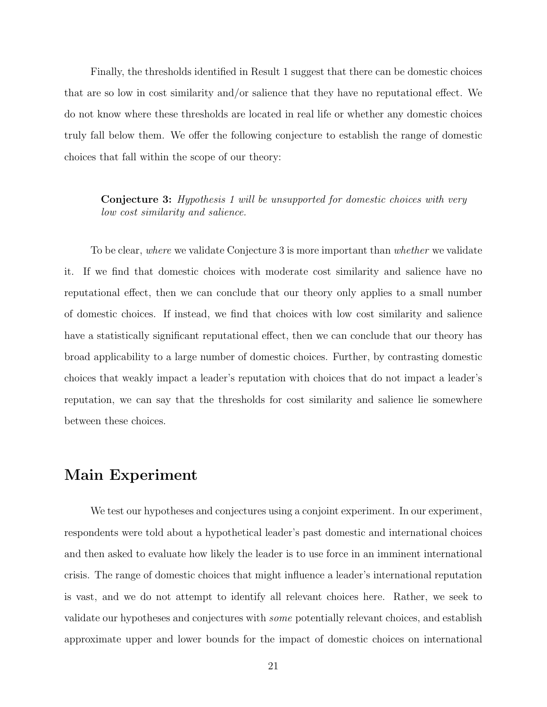Finally, the thresholds identified in Result 1 suggest that there can be domestic choices that are so low in cost similarity and/or salience that they have no reputational effect. We do not know where these thresholds are located in real life or whether any domestic choices truly fall below them. We offer the following conjecture to establish the range of domestic choices that fall within the scope of our theory:

Conjecture 3: Hypothesis 1 will be unsupported for domestic choices with very low cost similarity and salience.

To be clear, where we validate Conjecture 3 is more important than whether we validate it. If we find that domestic choices with moderate cost similarity and salience have no reputational effect, then we can conclude that our theory only applies to a small number of domestic choices. If instead, we find that choices with low cost similarity and salience have a statistically significant reputational effect, then we can conclude that our theory has broad applicability to a large number of domestic choices. Further, by contrasting domestic choices that weakly impact a leader's reputation with choices that do not impact a leader's reputation, we can say that the thresholds for cost similarity and salience lie somewhere between these choices.

## Main Experiment

We test our hypotheses and conjectures using a conjoint experiment. In our experiment, respondents were told about a hypothetical leader's past domestic and international choices and then asked to evaluate how likely the leader is to use force in an imminent international crisis. The range of domestic choices that might influence a leader's international reputation is vast, and we do not attempt to identify all relevant choices here. Rather, we seek to validate our hypotheses and conjectures with some potentially relevant choices, and establish approximate upper and lower bounds for the impact of domestic choices on international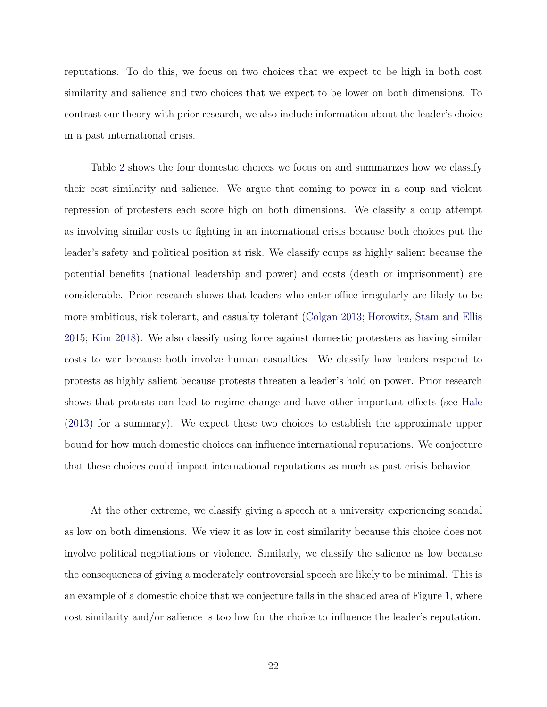reputations. To do this, we focus on two choices that we expect to be high in both cost similarity and salience and two choices that we expect to be lower on both dimensions. To contrast our theory with prior research, we also include information about the leader's choice in a past international crisis.

Table [2](#page-24-0) shows the four domestic choices we focus on and summarizes how we classify their cost similarity and salience. We argue that coming to power in a coup and violent repression of protesters each score high on both dimensions. We classify a coup attempt as involving similar costs to fighting in an international crisis because both choices put the leader's safety and political position at risk. We classify coups as highly salient because the potential benefits (national leadership and power) and costs (death or imprisonment) are considerable. Prior research shows that leaders who enter office irregularly are likely to be more ambitious, risk tolerant, and casualty tolerant [\(Colgan](#page-48-4) [2013;](#page-48-4) [Horowitz, Stam and Ellis](#page-49-1) [2015;](#page-49-1) [Kim](#page-50-14) [2018\)](#page-50-14). We also classify using force against domestic protesters as having similar costs to war because both involve human casualties. We classify how leaders respond to protests as highly salient because protests threaten a leader's hold on power. Prior research shows that protests can lead to regime change and have other important effects (see [Hale](#page-49-10) [\(2013\)](#page-49-10) for a summary). We expect these two choices to establish the approximate upper bound for how much domestic choices can influence international reputations. We conjecture that these choices could impact international reputations as much as past crisis behavior.

At the other extreme, we classify giving a speech at a university experiencing scandal as low on both dimensions. We view it as low in cost similarity because this choice does not involve political negotiations or violence. Similarly, we classify the salience as low because the consequences of giving a moderately controversial speech are likely to be minimal. This is an example of a domestic choice that we conjecture falls in the shaded area of Figure [1,](#page-16-0) where cost similarity and/or salience is too low for the choice to influence the leader's reputation.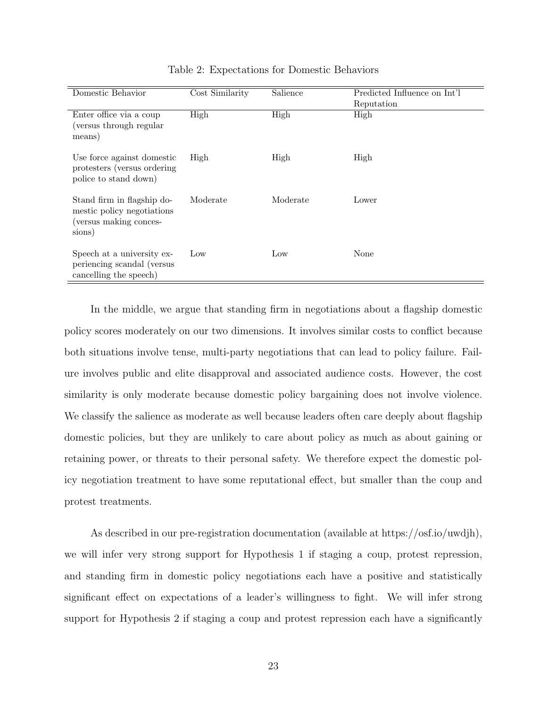<span id="page-24-0"></span>

| Domestic Behavior                                                                            | Cost Similarity | Salience | Predicted Influence on Int'l<br>Reputation |
|----------------------------------------------------------------------------------------------|-----------------|----------|--------------------------------------------|
| Enter office via a coup<br>(versus through regular)<br>means)                                | High            | High     | High                                       |
| Use force against domestic<br>protesters (versus ordering)<br>police to stand down)          | High            | High     | High                                       |
| Stand firm in flagship do-<br>mestic policy negotiations<br>(versus making conces-<br>sions) | Moderate        | Moderate | Lower                                      |
| Speech at a university ex-<br>periencing scandal (versus)<br>cancelling the speech)          | Low             | Low      | None                                       |

Table 2: Expectations for Domestic Behaviors

In the middle, we argue that standing firm in negotiations about a flagship domestic policy scores moderately on our two dimensions. It involves similar costs to conflict because both situations involve tense, multi-party negotiations that can lead to policy failure. Failure involves public and elite disapproval and associated audience costs. However, the cost similarity is only moderate because domestic policy bargaining does not involve violence. We classify the salience as moderate as well because leaders often care deeply about flagship domestic policies, but they are unlikely to care about policy as much as about gaining or retaining power, or threats to their personal safety. We therefore expect the domestic policy negotiation treatment to have some reputational effect, but smaller than the coup and protest treatments.

As described in our pre-registration documentation (available at https://osf.io/uwdjh), we will infer very strong support for Hypothesis 1 if staging a coup, protest repression, and standing firm in domestic policy negotiations each have a positive and statistically significant effect on expectations of a leader's willingness to fight. We will infer strong support for Hypothesis 2 if staging a coup and protest repression each have a significantly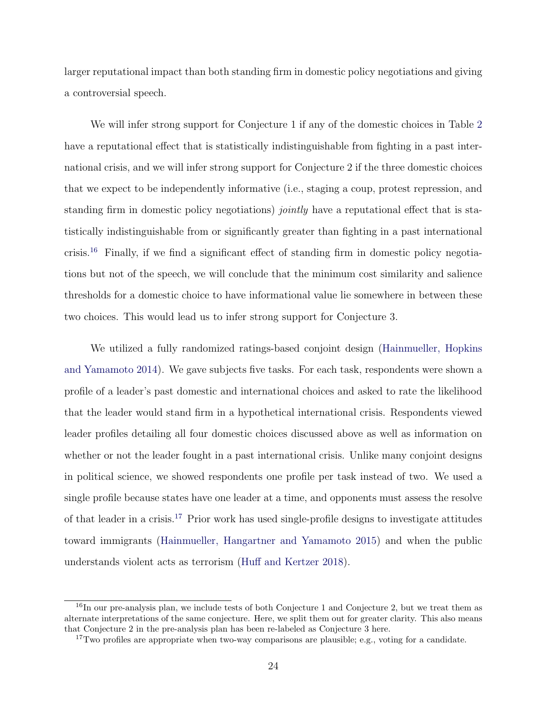larger reputational impact than both standing firm in domestic policy negotiations and giving a controversial speech.

We will infer strong support for Conjecture 1 if any of the domestic choices in Table [2](#page-24-0) have a reputational effect that is statistically indistinguishable from fighting in a past international crisis, and we will infer strong support for Conjecture 2 if the three domestic choices that we expect to be independently informative (i.e., staging a coup, protest repression, and standing firm in domestic policy negotiations) *jointly* have a reputational effect that is statistically indistinguishable from or significantly greater than fighting in a past international crisis.[16](#page-0-0) Finally, if we find a significant effect of standing firm in domestic policy negotiations but not of the speech, we will conclude that the minimum cost similarity and salience thresholds for a domestic choice to have informational value lie somewhere in between these two choices. This would lead us to infer strong support for Conjecture 3.

We utilized a fully randomized ratings-based conjoint design [\(Hainmueller, Hopkins](#page-48-10) [and Yamamoto](#page-48-10) [2014\)](#page-48-10). We gave subjects five tasks. For each task, respondents were shown a profile of a leader's past domestic and international choices and asked to rate the likelihood that the leader would stand firm in a hypothetical international crisis. Respondents viewed leader profiles detailing all four domestic choices discussed above as well as information on whether or not the leader fought in a past international crisis. Unlike many conjoint designs in political science, we showed respondents one profile per task instead of two. We used a single profile because states have one leader at a time, and opponents must assess the resolve of that leader in a crisis.[17](#page-0-0) Prior work has used single-profile designs to investigate attitudes toward immigrants [\(Hainmueller, Hangartner and Yamamoto](#page-49-11) [2015\)](#page-49-11) and when the public understands violent acts as terrorism [\(Huff and Kertzer](#page-49-12) [2018\)](#page-49-12).

<sup>&</sup>lt;sup>16</sup>In our pre-analysis plan, we include tests of both Conjecture 1 and Conjecture 2, but we treat them as alternate interpretations of the same conjecture. Here, we split them out for greater clarity. This also means that Conjecture 2 in the pre-analysis plan has been re-labeled as Conjecture 3 here.

<sup>&</sup>lt;sup>17</sup>Two profiles are appropriate when two-way comparisons are plausible; e.g., voting for a candidate.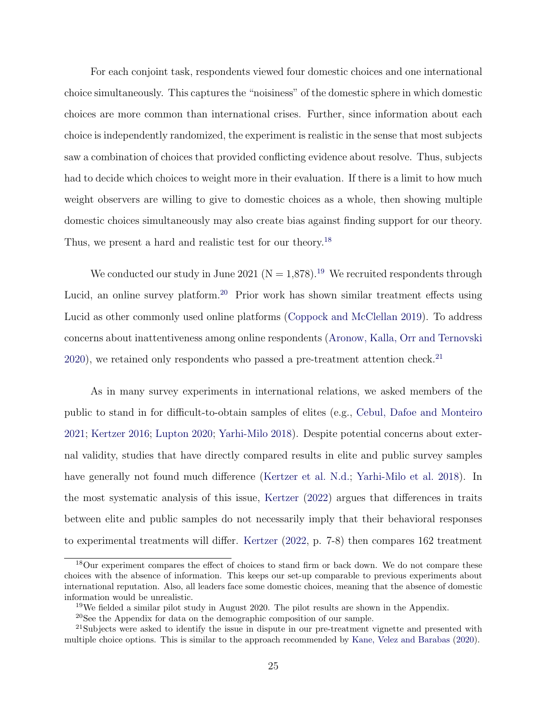For each conjoint task, respondents viewed four domestic choices and one international choice simultaneously. This captures the "noisiness" of the domestic sphere in which domestic choices are more common than international crises. Further, since information about each choice is independently randomized, the experiment is realistic in the sense that most subjects saw a combination of choices that provided conflicting evidence about resolve. Thus, subjects had to decide which choices to weight more in their evaluation. If there is a limit to how much weight observers are willing to give to domestic choices as a whole, then showing multiple domestic choices simultaneously may also create bias against finding support for our theory. Thus, we present a hard and realistic test for our theory.<sup>[18](#page-0-0)</sup>

We conducted our study in June 2021 ( $N = 1.878$ ).<sup>[19](#page-0-0)</sup> We recruited respondents through Lucid, an online survey platform.<sup>[20](#page-0-0)</sup> Prior work has shown similar treatment effects using Lucid as other commonly used online platforms [\(Coppock and McClellan](#page-48-11) [2019\)](#page-48-11). To address concerns about inattentiveness among online respondents [\(Aronow, Kalla, Orr and Ternovski](#page-47-9) [2020\)](#page-47-9), we retained only respondents who passed a pre-treatment attention check.<sup>[21](#page-0-0)</sup>

As in many survey experiments in international relations, we asked members of the public to stand in for difficult-to-obtain samples of elites (e.g., [Cebul, Dafoe and Monteiro](#page-47-10) [2021;](#page-47-10) [Kertzer](#page-49-2) [2016;](#page-49-2) [Lupton](#page-50-2) [2020;](#page-50-2) [Yarhi-Milo](#page-52-5) [2018\)](#page-52-5). Despite potential concerns about external validity, studies that have directly compared results in elite and public survey samples have generally not found much difference [\(Kertzer et al.](#page-50-1) [N.d.;](#page-50-1) [Yarhi-Milo et al.](#page-52-6) [2018\)](#page-52-6). In the most systematic analysis of this issue, [Kertzer](#page-50-15) [\(2022\)](#page-50-15) argues that differences in traits between elite and public samples do not necessarily imply that their behavioral responses to experimental treatments will differ. [Kertzer](#page-50-15) [\(2022,](#page-50-15) p. 7-8) then compares 162 treatment

<sup>&</sup>lt;sup>18</sup>Our experiment compares the effect of choices to stand firm or back down. We do not compare these choices with the absence of information. This keeps our set-up comparable to previous experiments about international reputation. Also, all leaders face some domestic choices, meaning that the absence of domestic information would be unrealistic.

<sup>19</sup>We fielded a similar pilot study in August 2020. The pilot results are shown in the Appendix.

<sup>20</sup>See the Appendix for data on the demographic composition of our sample.

<sup>&</sup>lt;sup>21</sup>Subjects were asked to identify the issue in dispute in our pre-treatment vignette and presented with multiple choice options. This is similar to the approach recommended by [Kane, Velez and Barabas](#page-49-13) [\(2020\)](#page-49-13).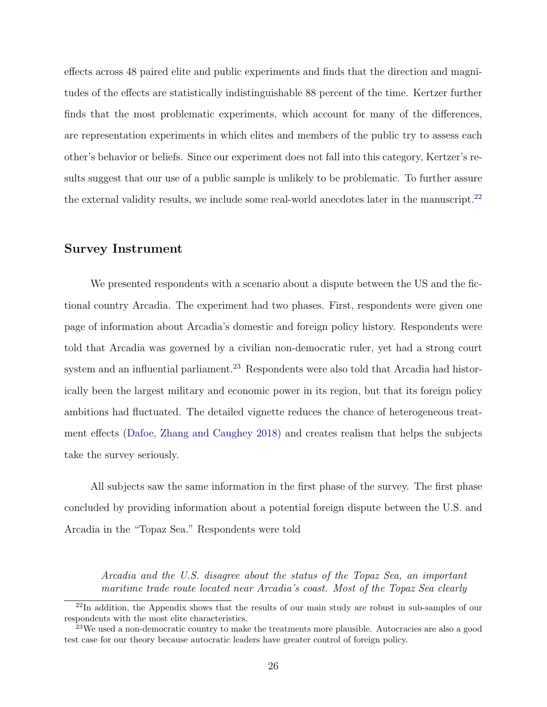effects across 48 paired elite and public experiments and finds that the direction and magnitudes of the effects are statistically indistinguishable 88 percent of the time. Kertzer further finds that the most problematic experiments, which account for many of the differences, are representation experiments in which elites and members of the public try to assess each other's behavior or beliefs. Since our experiment does not fall into this category, Kertzer's results suggest that our use of a public sample is unlikely to be problematic. To further assure the external validity results, we include some real-world anecdotes later in the manuscript.<sup>[22](#page-0-0)</sup>

#### Survey Instrument

We presented respondents with a scenario about a dispute between the US and the fictional country Arcadia. The experiment had two phases. First, respondents were given one page of information about Arcadia's domestic and foreign policy history. Respondents were told that Arcadia was governed by a civilian non-democratic ruler, yet had a strong court system and an influential parliament.<sup>[23](#page-0-0)</sup> Respondents were also told that Arcadia had historically been the largest military and economic power in its region, but that its foreign policy ambitions had fluctuated. The detailed vignette reduces the chance of heterogeneous treatment effects [\(Dafoe, Zhang and Caughey](#page-48-12) [2018\)](#page-48-12) and creates realism that helps the subjects take the survey seriously.

All subjects saw the same information in the first phase of the survey. The first phase concluded by providing information about a potential foreign dispute between the U.S. and Arcadia in the "Topaz Sea." Respondents were told

Arcadia and the U.S. disagree about the status of the Topaz Sea, an important maritime trade route located near Arcadia's coast. Most of the Topaz Sea clearly

 $22$ In addition, the Appendix shows that the results of our main study are robust in sub-samples of our respondents with the most elite characteristics.

 $^{23}$ We used a non-democratic country to make the treatments more plausible. Autocracies are also a good test case for our theory because autocratic leaders have greater control of foreign policy.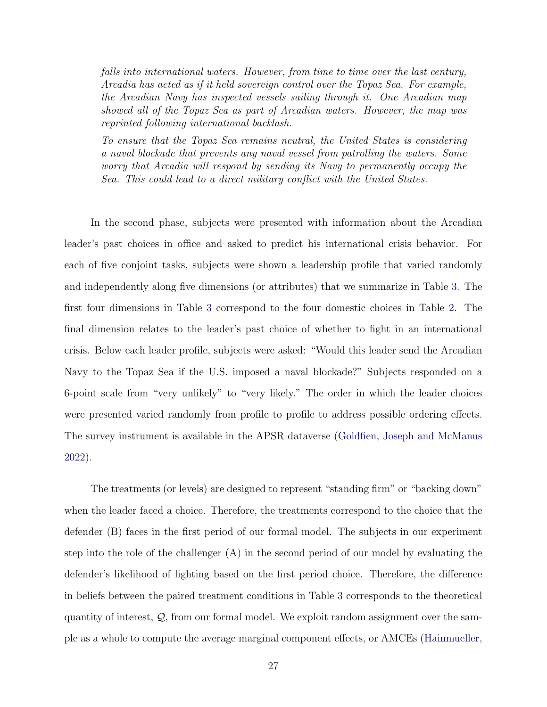falls into international waters. However, from time to time over the last century, Arcadia has acted as if it held sovereign control over the Topaz Sea. For example, the Arcadian Navy has inspected vessels sailing through it. One Arcadian map showed all of the Topaz Sea as part of Arcadian waters. However, the map was reprinted following international backlash.

To ensure that the Topaz Sea remains neutral, the United States is considering a naval blockade that prevents any naval vessel from patrolling the waters. Some worry that Arcadia will respond by sending its Navy to permanently occupy the Sea. This could lead to a direct military conflict with the United States.

In the second phase, subjects were presented with information about the Arcadian leader's past choices in office and asked to predict his international crisis behavior. For each of five conjoint tasks, subjects were shown a leadership profile that varied randomly and independently along five dimensions (or attributes) that we summarize in Table [3.](#page-29-0) The first four dimensions in Table [3](#page-29-0) correspond to the four domestic choices in Table [2.](#page-24-0) The final dimension relates to the leader's past choice of whether to fight in an international crisis. Below each leader profile, subjects were asked: "Would this leader send the Arcadian Navy to the Topaz Sea if the U.S. imposed a naval blockade?" Subjects responded on a 6-point scale from "very unlikely" to "very likely." The order in which the leader choices were presented varied randomly from profile to profile to address possible ordering effects. The survey instrument is available in the APSR dataverse [\(Goldfien, Joseph and McManus](#page-48-13) [2022\)](#page-48-13).

The treatments (or levels) are designed to represent "standing firm" or "backing down" when the leader faced a choice. Therefore, the treatments correspond to the choice that the defender (B) faces in the first period of our formal model. The subjects in our experiment step into the role of the challenger (A) in the second period of our model by evaluating the defender's likelihood of fighting based on the first period choice. Therefore, the difference in beliefs between the paired treatment conditions in Table 3 corresponds to the theoretical quantity of interest,  $\mathcal{Q}$ , from our formal model. We exploit random assignment over the sample as a whole to compute the average marginal component effects, or AMCEs [\(Hainmueller,](#page-48-10)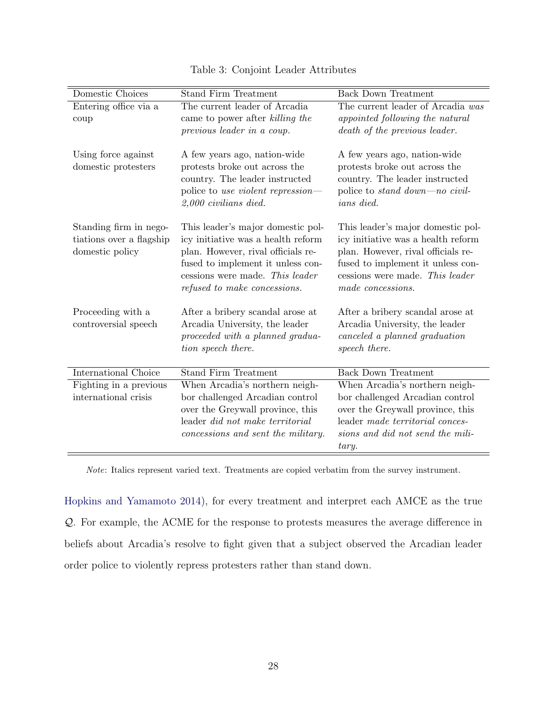<span id="page-29-0"></span>

| Domestic Choices                                                      | <b>Stand Firm Treatment</b>                                                                                                                                                                                           | <b>Back Down Treatment</b>                                                                                                                                                                                 |
|-----------------------------------------------------------------------|-----------------------------------------------------------------------------------------------------------------------------------------------------------------------------------------------------------------------|------------------------------------------------------------------------------------------------------------------------------------------------------------------------------------------------------------|
| Entering office via a<br>coup                                         | The current leader of Arcadia<br>came to power after killing the<br>previous leader in a coup.                                                                                                                        | The current leader of Arcadia was<br>appointed following the natural<br>death of the previous leader.                                                                                                      |
| Using force against<br>domestic protesters                            | A few years ago, nation-wide<br>protests broke out across the<br>country. The leader instructed<br>police to use violent repression—<br>$2,000$ civilians died.                                                       | A few years ago, nation-wide<br>protests broke out across the<br>country. The leader instructed<br>police to <i>stand down—no civil-</i><br><i>ians</i> died.                                              |
| Standing firm in nego-<br>tiations over a flagship<br>domestic policy | This leader's major domestic pol-<br>icy initiative was a health reform<br>plan. However, rival officials re-<br>fused to implement it unless con-<br>cessions were made. This leader<br>refused to make concessions. | This leader's major domestic pol-<br>icy initiative was a health reform<br>plan. However, rival officials re-<br>fused to implement it unless con-<br>cessions were made. This leader<br>made concessions. |
| Proceeding with a<br>controversial speech                             | After a bribery scandal arose at<br>Arcadia University, the leader<br>proceeded with a planned gradua-<br>tion speech there.                                                                                          | After a bribery scandal arose at<br>Arcadia University, the leader<br>canceled a planned graduation<br>speech there.                                                                                       |
| <b>International Choice</b>                                           | <b>Stand Firm Treatment</b>                                                                                                                                                                                           | <b>Back Down Treatment</b>                                                                                                                                                                                 |
| Fighting in a previous<br>international crisis                        | When Arcadia's northern neigh-<br>bor challenged Arcadian control<br>over the Greywall province, this<br>leader did not make territorial<br>concessions and sent the military.                                        | When Arcadia's northern neigh-<br>bor challenged Arcadian control<br>over the Greywall province, this<br>leader made territorial conces-<br>sions and did not send the mili-<br>tary.                      |

### [Table 3: Conjoint Leader Attributes](#page-48-10)

Note: Italics represent varied text. Treatments are copied verbatim from the survey instrument.

[Hopkins and Yamamoto](#page-48-10) [2014\)](#page-48-10), for every treatment and interpret each AMCE as the true Q. For example, the ACME for the response to protests measures the average difference in beliefs about Arcadia's resolve to fight given that a subject observed the Arcadian leader order police to violently repress protesters rather than stand down.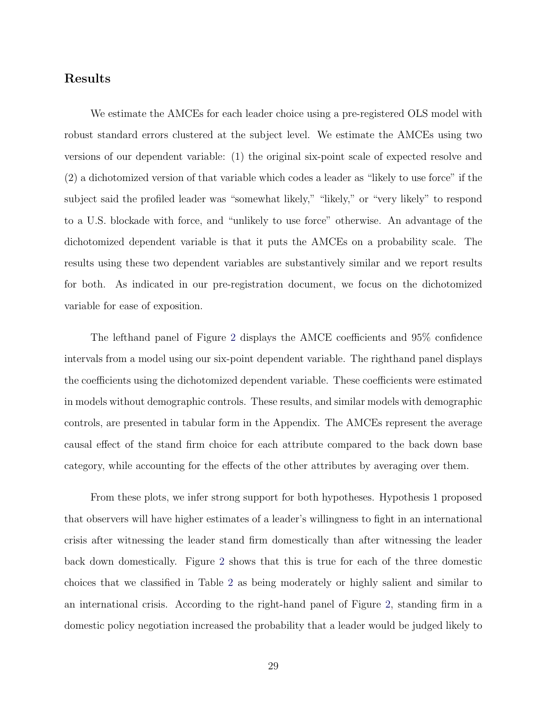### Results

We estimate the AMCEs for each leader choice using a pre-registered OLS model with robust standard errors clustered at the subject level. We estimate the AMCEs using two versions of our dependent variable: (1) the original six-point scale of expected resolve and (2) a dichotomized version of that variable which codes a leader as "likely to use force" if the subject said the profiled leader was "somewhat likely," "likely," or "very likely" to respond to a U.S. blockade with force, and "unlikely to use force" otherwise. An advantage of the dichotomized dependent variable is that it puts the AMCEs on a probability scale. The results using these two dependent variables are substantively similar and we report results for both. As indicated in our pre-registration document, we focus on the dichotomized variable for ease of exposition.

The lefthand panel of Figure [2](#page-32-0) displays the AMCE coefficients and 95% confidence intervals from a model using our six-point dependent variable. The righthand panel displays the coefficients using the dichotomized dependent variable. These coefficients were estimated in models without demographic controls. These results, and similar models with demographic controls, are presented in tabular form in the Appendix. The AMCEs represent the average causal effect of the stand firm choice for each attribute compared to the back down base category, while accounting for the effects of the other attributes by averaging over them.

From these plots, we infer strong support for both hypotheses. Hypothesis 1 proposed that observers will have higher estimates of a leader's willingness to fight in an international crisis after witnessing the leader stand firm domestically than after witnessing the leader back down domestically. Figure [2](#page-32-0) shows that this is true for each of the three domestic choices that we classified in Table [2](#page-24-0) as being moderately or highly salient and similar to an international crisis. According to the right-hand panel of Figure [2,](#page-32-0) standing firm in a domestic policy negotiation increased the probability that a leader would be judged likely to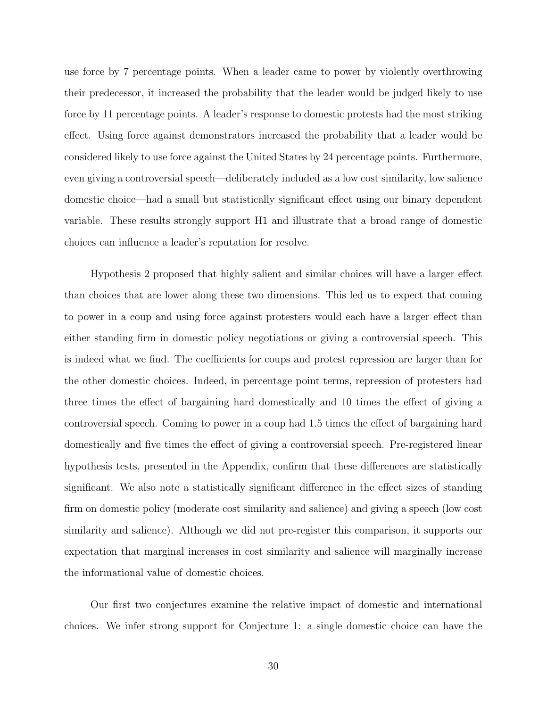use force by 7 percentage points. When a leader came to power by violently overthrowing their predecessor, it increased the probability that the leader would be judged likely to use force by 11 percentage points. A leader's response to domestic protests had the most striking effect. Using force against demonstrators increased the probability that a leader would be considered likely to use force against the United States by 24 percentage points. Furthermore, even giving a controversial speech—deliberately included as a low cost similarity, low salience domestic choice—had a small but statistically significant effect using our binary dependent variable. These results strongly support H1 and illustrate that a broad range of domestic choices can influence a leader's reputation for resolve.

Hypothesis 2 proposed that highly salient and similar choices will have a larger effect than choices that are lower along these two dimensions. This led us to expect that coming to power in a coup and using force against protesters would each have a larger effect than either standing firm in domestic policy negotiations or giving a controversial speech. This is indeed what we find. The coefficients for coups and protest repression are larger than for the other domestic choices. Indeed, in percentage point terms, repression of protesters had three times the effect of bargaining hard domestically and 10 times the effect of giving a controversial speech. Coming to power in a coup had 1.5 times the effect of bargaining hard domestically and five times the effect of giving a controversial speech. Pre-registered linear hypothesis tests, presented in the Appendix, confirm that these differences are statistically significant. We also note a statistically significant difference in the effect sizes of standing firm on domestic policy (moderate cost similarity and salience) and giving a speech (low cost similarity and salience). Although we did not pre-register this comparison, it supports our expectation that marginal increases in cost similarity and salience will marginally increase the informational value of domestic choices.

Our first two conjectures examine the relative impact of domestic and international choices. We infer strong support for Conjecture 1: a single domestic choice can have the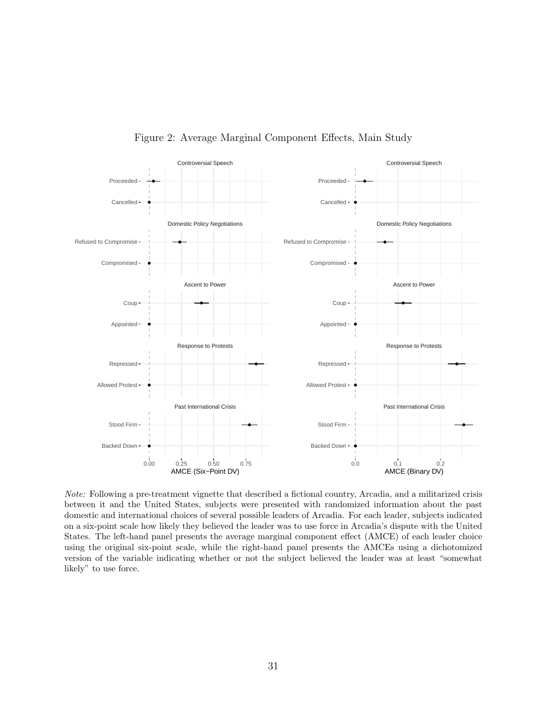<span id="page-32-0"></span>

Figure 2: Average Marginal Component Effects, Main Study

Note: Following a pre-treatment vignette that described a fictional country, Arcadia, and a militarized crisis between it and the United States, subjects were presented with randomized information about the past domestic and international choices of several possible leaders of Arcadia. For each leader, subjects indicated on a six-point scale how likely they believed the leader was to use force in Arcadia's dispute with the United States. The left-hand panel presents the average marginal component effect (AMCE) of each leader choice using the original six-point scale, while the right-hand panel presents the AMCEs using a dichotomized version of the variable indicating whether or not the subject believed the leader was at least "somewhat likely" to use force.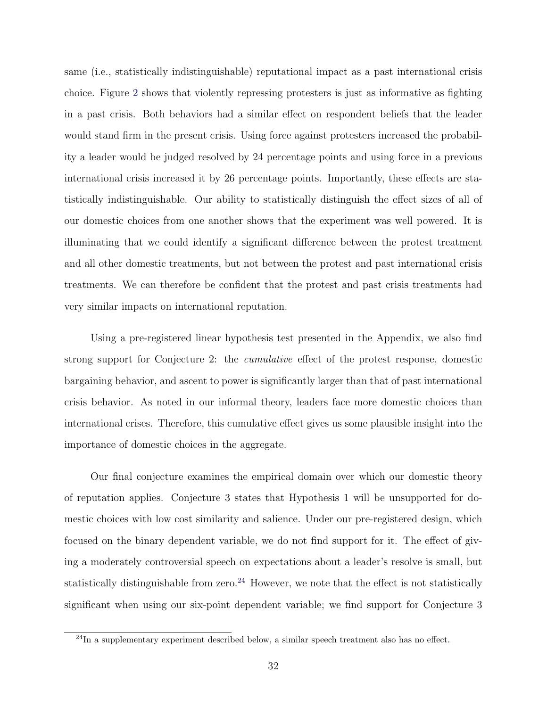same (i.e., statistically indistinguishable) reputational impact as a past international crisis choice. Figure [2](#page-32-0) shows that violently repressing protesters is just as informative as fighting in a past crisis. Both behaviors had a similar effect on respondent beliefs that the leader would stand firm in the present crisis. Using force against protesters increased the probability a leader would be judged resolved by 24 percentage points and using force in a previous international crisis increased it by 26 percentage points. Importantly, these effects are statistically indistinguishable. Our ability to statistically distinguish the effect sizes of all of our domestic choices from one another shows that the experiment was well powered. It is illuminating that we could identify a significant difference between the protest treatment and all other domestic treatments, but not between the protest and past international crisis treatments. We can therefore be confident that the protest and past crisis treatments had very similar impacts on international reputation.

Using a pre-registered linear hypothesis test presented in the Appendix, we also find strong support for Conjecture 2: the cumulative effect of the protest response, domestic bargaining behavior, and ascent to power is significantly larger than that of past international crisis behavior. As noted in our informal theory, leaders face more domestic choices than international crises. Therefore, this cumulative effect gives us some plausible insight into the importance of domestic choices in the aggregate.

Our final conjecture examines the empirical domain over which our domestic theory of reputation applies. Conjecture 3 states that Hypothesis 1 will be unsupported for domestic choices with low cost similarity and salience. Under our pre-registered design, which focused on the binary dependent variable, we do not find support for it. The effect of giving a moderately controversial speech on expectations about a leader's resolve is small, but statistically distinguishable from zero.<sup>[24](#page-0-0)</sup> However, we note that the effect is not statistically significant when using our six-point dependent variable; we find support for Conjecture 3

 $^{24}$ In a supplementary experiment described below, a similar speech treatment also has no effect.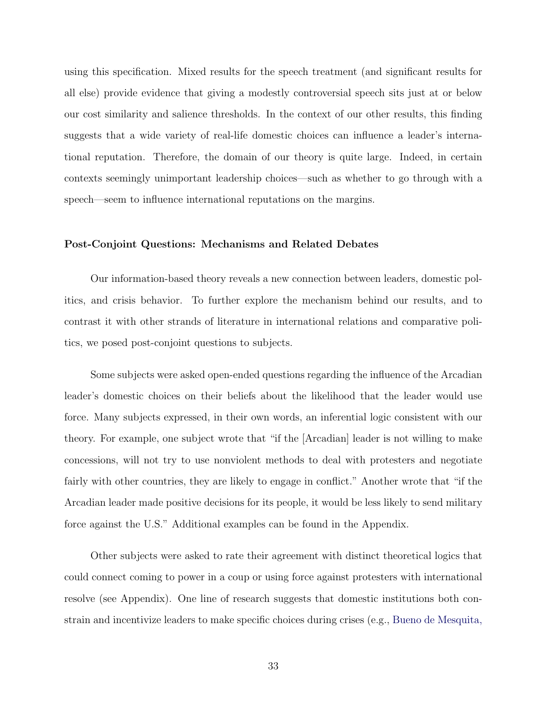using this specification. Mixed results for the speech treatment (and significant results for all else) provide evidence that giving a modestly controversial speech sits just at or below our cost similarity and salience thresholds. In the context of our other results, this finding suggests that a wide variety of real-life domestic choices can influence a leader's international reputation. Therefore, the domain of our theory is quite large. Indeed, in certain contexts seemingly unimportant leadership choices—such as whether to go through with a speech—seem to influence international reputations on the margins.

#### Post-Conjoint Questions: Mechanisms and Related Debates

Our information-based theory reveals a new connection between leaders, domestic politics, and crisis behavior. To further explore the mechanism behind our results, and to contrast it with other strands of literature in international relations and comparative politics, we posed post-conjoint questions to subjects.

Some subjects were asked open-ended questions regarding the influence of the Arcadian leader's domestic choices on their beliefs about the likelihood that the leader would use force. Many subjects expressed, in their own words, an inferential logic consistent with our theory. For example, one subject wrote that "if the [Arcadian] leader is not willing to make concessions, will not try to use nonviolent methods to deal with protesters and negotiate fairly with other countries, they are likely to engage in conflict." Another wrote that "if the Arcadian leader made positive decisions for its people, it would be less likely to send military force against the U.S." Additional examples can be found in the Appendix.

Other subjects were asked to rate their agreement with distinct theoretical logics that could connect coming to power in a coup or using force against protesters with international resolve (see Appendix). One line of research suggests that domestic institutions both constrain and incentivize leaders to make specific choices during crises (e.g., [Bueno de Mesquita,](#page-47-11)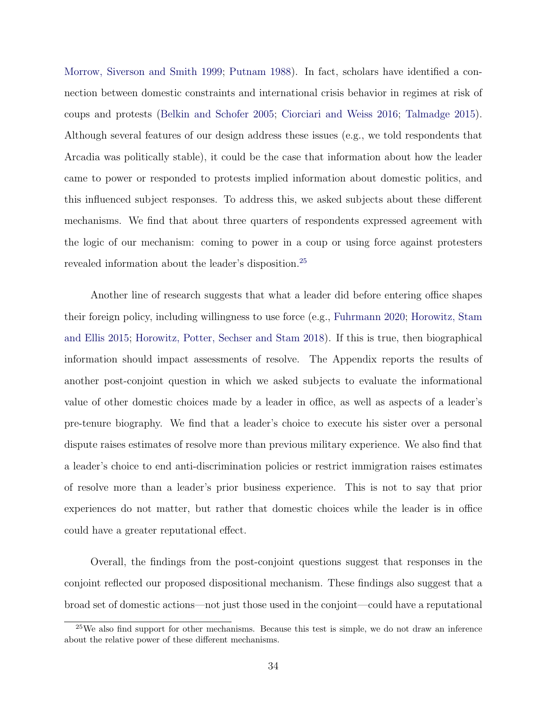[Morrow, Siverson and Smith](#page-47-11) [1999;](#page-47-11) [Putnam](#page-51-5) [1988\)](#page-51-5). In fact, scholars have identified a connection between domestic constraints and international crisis behavior in regimes at risk of coups and protests [\(Belkin and Schofer](#page-47-12) [2005;](#page-47-12) [Ciorciari and Weiss](#page-47-13) [2016;](#page-47-13) [Talmadge](#page-52-7) [2015\)](#page-52-7). Although several features of our design address these issues (e.g., we told respondents that Arcadia was politically stable), it could be the case that information about how the leader came to power or responded to protests implied information about domestic politics, and this influenced subject responses. To address this, we asked subjects about these different mechanisms. We find that about three quarters of respondents expressed agreement with the logic of our mechanism: coming to power in a coup or using force against protesters revealed information about the leader's disposition.[25](#page-0-0)

Another line of research suggests that what a leader did before entering office shapes their foreign policy, including willingness to use force (e.g., [Fuhrmann](#page-48-7) [2020;](#page-48-7) [Horowitz, Stam](#page-49-1) [and Ellis](#page-49-1) [2015;](#page-49-1) [Horowitz, Potter, Sechser and Stam](#page-49-14) [2018\)](#page-49-14). If this is true, then biographical information should impact assessments of resolve. The Appendix reports the results of another post-conjoint question in which we asked subjects to evaluate the informational value of other domestic choices made by a leader in office, as well as aspects of a leader's pre-tenure biography. We find that a leader's choice to execute his sister over a personal dispute raises estimates of resolve more than previous military experience. We also find that a leader's choice to end anti-discrimination policies or restrict immigration raises estimates of resolve more than a leader's prior business experience. This is not to say that prior experiences do not matter, but rather that domestic choices while the leader is in office could have a greater reputational effect.

Overall, the findings from the post-conjoint questions suggest that responses in the conjoint reflected our proposed dispositional mechanism. These findings also suggest that a broad set of domestic actions—not just those used in the conjoint—could have a reputational

 $25$ We also find support for other mechanisms. Because this test is simple, we do not draw an inference about the relative power of these different mechanisms.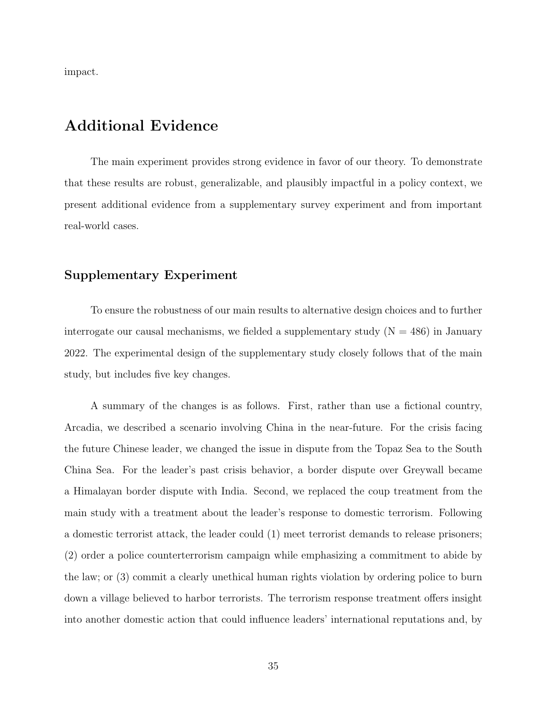impact.

# Additional Evidence

The main experiment provides strong evidence in favor of our theory. To demonstrate that these results are robust, generalizable, and plausibly impactful in a policy context, we present additional evidence from a supplementary survey experiment and from important real-world cases.

### Supplementary Experiment

To ensure the robustness of our main results to alternative design choices and to further interrogate our causal mechanisms, we fielded a supplementary study  $(N = 486)$  in January 2022. The experimental design of the supplementary study closely follows that of the main study, but includes five key changes.

A summary of the changes is as follows. First, rather than use a fictional country, Arcadia, we described a scenario involving China in the near-future. For the crisis facing the future Chinese leader, we changed the issue in dispute from the Topaz Sea to the South China Sea. For the leader's past crisis behavior, a border dispute over Greywall became a Himalayan border dispute with India. Second, we replaced the coup treatment from the main study with a treatment about the leader's response to domestic terrorism. Following a domestic terrorist attack, the leader could (1) meet terrorist demands to release prisoners; (2) order a police counterterrorism campaign while emphasizing a commitment to abide by the law; or (3) commit a clearly unethical human rights violation by ordering police to burn down a village believed to harbor terrorists. The terrorism response treatment offers insight into another domestic action that could influence leaders' international reputations and, by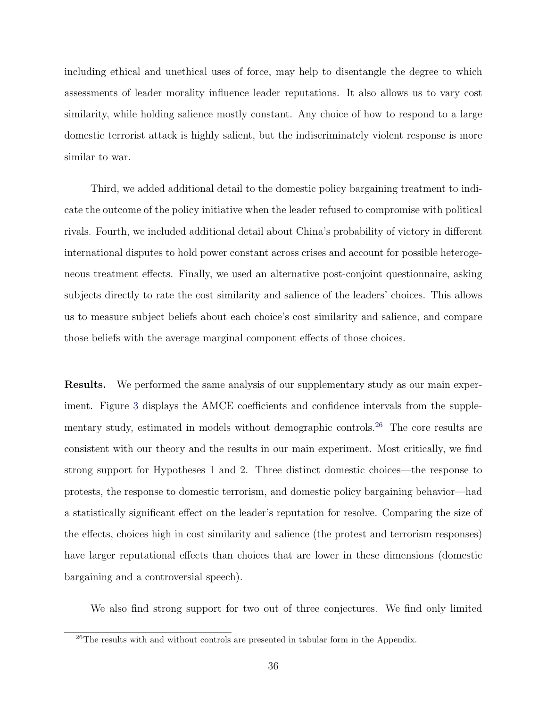including ethical and unethical uses of force, may help to disentangle the degree to which assessments of leader morality influence leader reputations. It also allows us to vary cost similarity, while holding salience mostly constant. Any choice of how to respond to a large domestic terrorist attack is highly salient, but the indiscriminately violent response is more similar to war.

Third, we added additional detail to the domestic policy bargaining treatment to indicate the outcome of the policy initiative when the leader refused to compromise with political rivals. Fourth, we included additional detail about China's probability of victory in different international disputes to hold power constant across crises and account for possible heterogeneous treatment effects. Finally, we used an alternative post-conjoint questionnaire, asking subjects directly to rate the cost similarity and salience of the leaders' choices. This allows us to measure subject beliefs about each choice's cost similarity and salience, and compare those beliefs with the average marginal component effects of those choices.

Results. We performed the same analysis of our supplementary study as our main experiment. Figure [3](#page-39-0) displays the AMCE coefficients and confidence intervals from the supple-mentary study, estimated in models without demographic controls.<sup>[26](#page-0-0)</sup> The core results are consistent with our theory and the results in our main experiment. Most critically, we find strong support for Hypotheses 1 and 2. Three distinct domestic choices—the response to protests, the response to domestic terrorism, and domestic policy bargaining behavior—had a statistically significant effect on the leader's reputation for resolve. Comparing the size of the effects, choices high in cost similarity and salience (the protest and terrorism responses) have larger reputational effects than choices that are lower in these dimensions (domestic bargaining and a controversial speech).

We also find strong support for two out of three conjectures. We find only limited

<sup>&</sup>lt;sup>26</sup>The results with and without controls are presented in tabular form in the Appendix.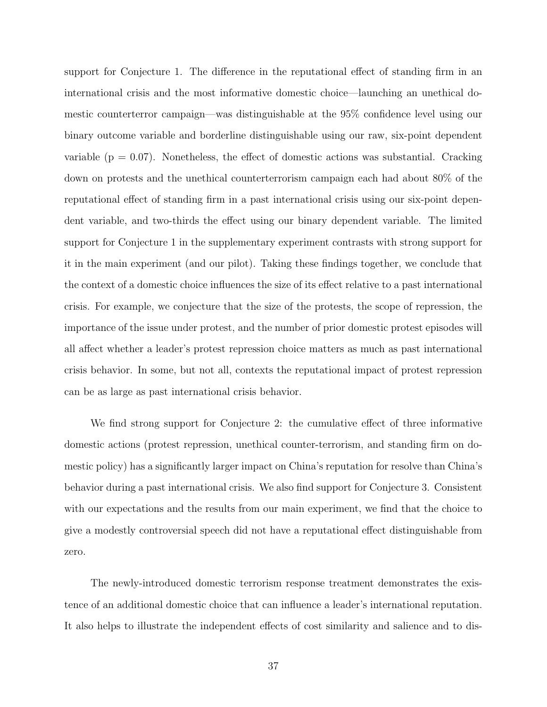support for Conjecture 1. The difference in the reputational effect of standing firm in an international crisis and the most informative domestic choice—launching an unethical domestic counterterror campaign—was distinguishable at the 95% confidence level using our binary outcome variable and borderline distinguishable using our raw, six-point dependent variable ( $p = 0.07$ ). Nonetheless, the effect of domestic actions was substantial. Cracking down on protests and the unethical counterterrorism campaign each had about 80% of the reputational effect of standing firm in a past international crisis using our six-point dependent variable, and two-thirds the effect using our binary dependent variable. The limited support for Conjecture 1 in the supplementary experiment contrasts with strong support for it in the main experiment (and our pilot). Taking these findings together, we conclude that the context of a domestic choice influences the size of its effect relative to a past international crisis. For example, we conjecture that the size of the protests, the scope of repression, the importance of the issue under protest, and the number of prior domestic protest episodes will all affect whether a leader's protest repression choice matters as much as past international crisis behavior. In some, but not all, contexts the reputational impact of protest repression can be as large as past international crisis behavior.

We find strong support for Conjecture 2: the cumulative effect of three informative domestic actions (protest repression, unethical counter-terrorism, and standing firm on domestic policy) has a significantly larger impact on China's reputation for resolve than China's behavior during a past international crisis. We also find support for Conjecture 3. Consistent with our expectations and the results from our main experiment, we find that the choice to give a modestly controversial speech did not have a reputational effect distinguishable from zero.

The newly-introduced domestic terrorism response treatment demonstrates the existence of an additional domestic choice that can influence a leader's international reputation. It also helps to illustrate the independent effects of cost similarity and salience and to dis-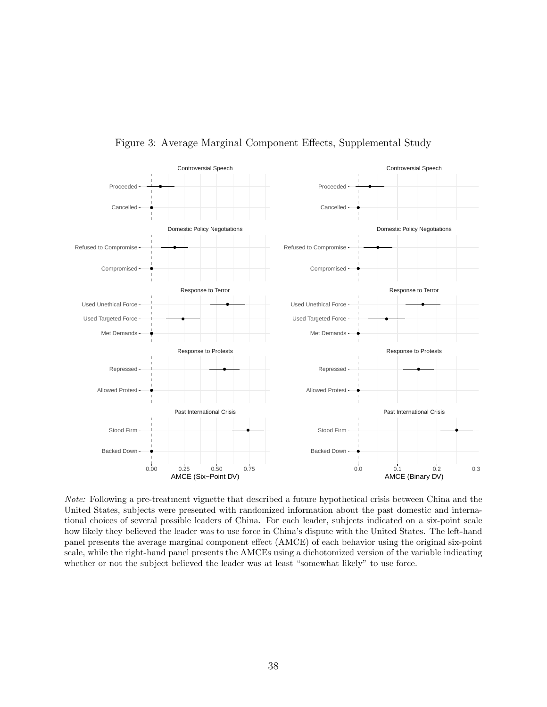<span id="page-39-0"></span>

Figure 3: Average Marginal Component Effects, Supplemental Study

Note: Following a pre-treatment vignette that described a future hypothetical crisis between China and the United States, subjects were presented with randomized information about the past domestic and international choices of several possible leaders of China. For each leader, subjects indicated on a six-point scale how likely they believed the leader was to use force in China's dispute with the United States. The left-hand panel presents the average marginal component effect (AMCE) of each behavior using the original six-point scale, while the right-hand panel presents the AMCEs using a dichotomized version of the variable indicating whether or not the subject believed the leader was at least "somewhat likely" to use force.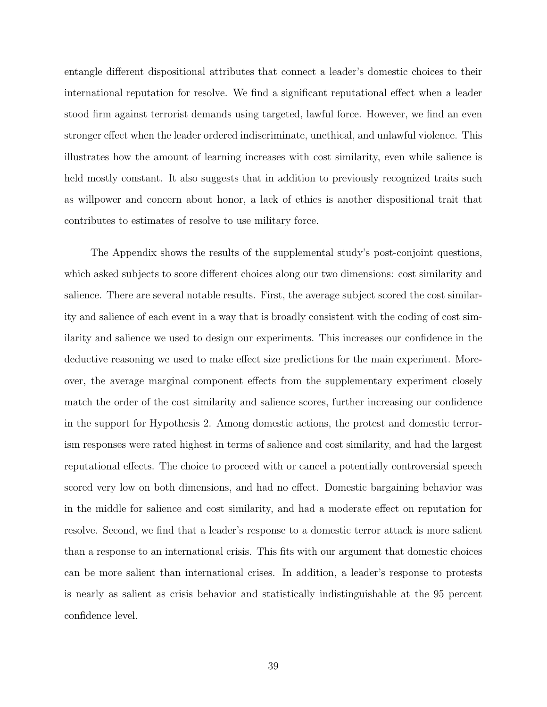entangle different dispositional attributes that connect a leader's domestic choices to their international reputation for resolve. We find a significant reputational effect when a leader stood firm against terrorist demands using targeted, lawful force. However, we find an even stronger effect when the leader ordered indiscriminate, unethical, and unlawful violence. This illustrates how the amount of learning increases with cost similarity, even while salience is held mostly constant. It also suggests that in addition to previously recognized traits such as willpower and concern about honor, a lack of ethics is another dispositional trait that contributes to estimates of resolve to use military force.

The Appendix shows the results of the supplemental study's post-conjoint questions, which asked subjects to score different choices along our two dimensions: cost similarity and salience. There are several notable results. First, the average subject scored the cost similarity and salience of each event in a way that is broadly consistent with the coding of cost similarity and salience we used to design our experiments. This increases our confidence in the deductive reasoning we used to make effect size predictions for the main experiment. Moreover, the average marginal component effects from the supplementary experiment closely match the order of the cost similarity and salience scores, further increasing our confidence in the support for Hypothesis 2. Among domestic actions, the protest and domestic terrorism responses were rated highest in terms of salience and cost similarity, and had the largest reputational effects. The choice to proceed with or cancel a potentially controversial speech scored very low on both dimensions, and had no effect. Domestic bargaining behavior was in the middle for salience and cost similarity, and had a moderate effect on reputation for resolve. Second, we find that a leader's response to a domestic terror attack is more salient than a response to an international crisis. This fits with our argument that domestic choices can be more salient than international crises. In addition, a leader's response to protests is nearly as salient as crisis behavior and statistically indistinguishable at the 95 percent confidence level.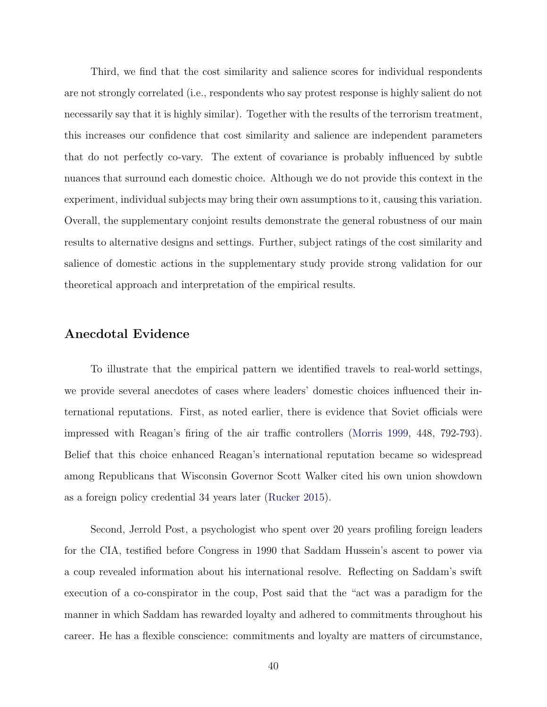Third, we find that the cost similarity and salience scores for individual respondents are not strongly correlated (i.e., respondents who say protest response is highly salient do not necessarily say that it is highly similar). Together with the results of the terrorism treatment, this increases our confidence that cost similarity and salience are independent parameters that do not perfectly co-vary. The extent of covariance is probably influenced by subtle nuances that surround each domestic choice. Although we do not provide this context in the experiment, individual subjects may bring their own assumptions to it, causing this variation. Overall, the supplementary conjoint results demonstrate the general robustness of our main results to alternative designs and settings. Further, subject ratings of the cost similarity and salience of domestic actions in the supplementary study provide strong validation for our theoretical approach and interpretation of the empirical results.

#### Anecdotal Evidence

To illustrate that the empirical pattern we identified travels to real-world settings, we provide several anecdotes of cases where leaders' domestic choices influenced their international reputations. First, as noted earlier, there is evidence that Soviet officials were impressed with Reagan's firing of the air traffic controllers [\(Morris](#page-51-0) [1999,](#page-51-0) 448, 792-793). Belief that this choice enhanced Reagan's international reputation became so widespread among Republicans that Wisconsin Governor Scott Walker cited his own union showdown as a foreign policy credential 34 years later [\(Rucker](#page-51-13) [2015\)](#page-51-13).

Second, Jerrold Post, a psychologist who spent over 20 years profiling foreign leaders for the CIA, testified before Congress in 1990 that Saddam Hussein's ascent to power via a coup revealed information about his international resolve. Reflecting on Saddam's swift execution of a co-conspirator in the coup, Post said that the "act was a paradigm for the manner in which Saddam has rewarded loyalty and adhered to commitments throughout his career. He has a flexible conscience: commitments and loyalty are matters of circumstance,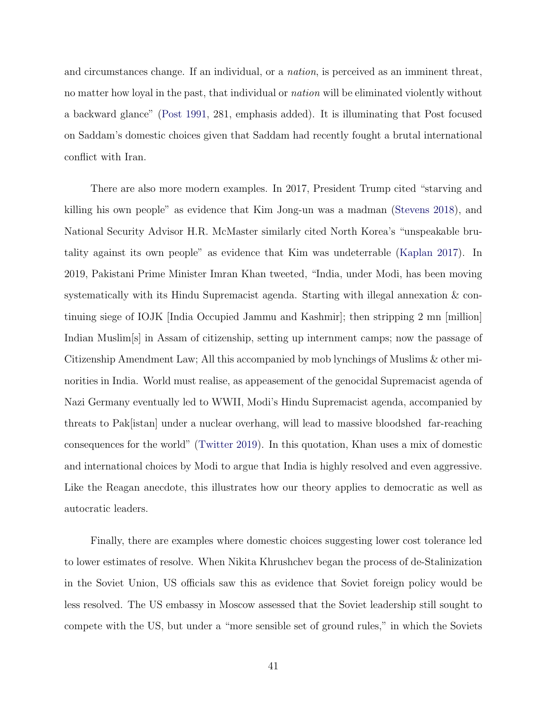and circumstances change. If an individual, or a nation, is perceived as an imminent threat, no matter how loyal in the past, that individual or *nation* will be eliminated violently without a backward glance" [\(Post](#page-51-14) [1991,](#page-51-14) 281, emphasis added). It is illuminating that Post focused on Saddam's domestic choices given that Saddam had recently fought a brutal international conflict with Iran.

There are also more modern examples. In 2017, President Trump cited "starving and killing his own people" as evidence that Kim Jong-un was a madman [\(Stevens](#page-51-15) [2018\)](#page-51-15), and National Security Advisor H.R. McMaster similarly cited North Korea's "unspeakable brutality against its own people" as evidence that Kim was undeterrable [\(Kaplan](#page-49-15) [2017\)](#page-49-15). In 2019, Pakistani Prime Minister Imran Khan tweeted, "India, under Modi, has been moving systematically with its Hindu Supremacist agenda. Starting with illegal annexation & continuing siege of IOJK [India Occupied Jammu and Kashmir]; then stripping 2 mn [million] Indian Muslim[s] in Assam of citizenship, setting up internment camps; now the passage of Citizenship Amendment Law; All this accompanied by mob lynchings of Muslims & other minorities in India. World must realise, as appeasement of the genocidal Supremacist agenda of Nazi Germany eventually led to WWII, Modi's Hindu Supremacist agenda, accompanied by threats to Pak[istan] under a nuclear overhang, will lead to massive bloodshed far-reaching consequences for the world" [\(Twitter](#page-52-8) [2019\)](#page-52-8). In this quotation, Khan uses a mix of domestic and international choices by Modi to argue that India is highly resolved and even aggressive. Like the Reagan anecdote, this illustrates how our theory applies to democratic as well as autocratic leaders.

Finally, there are examples where domestic choices suggesting lower cost tolerance led to lower estimates of resolve. When Nikita Khrushchev began the process of de-Stalinization in the Soviet Union, US officials saw this as evidence that Soviet foreign policy would be less resolved. The US embassy in Moscow assessed that the Soviet leadership still sought to compete with the US, but under a "more sensible set of ground rules," in which the Soviets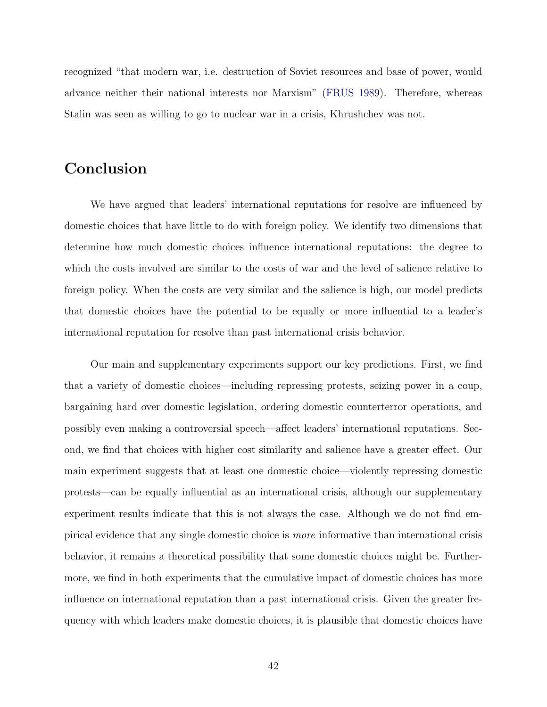recognized "that modern war, i.e. destruction of Soviet resources and base of power, would advance neither their national interests nor Marxism" [\(FRUS](#page-48-14) [1989\)](#page-48-14). Therefore, whereas Stalin was seen as willing to go to nuclear war in a crisis, Khrushchev was not.

# Conclusion

We have argued that leaders' international reputations for resolve are influenced by domestic choices that have little to do with foreign policy. We identify two dimensions that determine how much domestic choices influence international reputations: the degree to which the costs involved are similar to the costs of war and the level of salience relative to foreign policy. When the costs are very similar and the salience is high, our model predicts that domestic choices have the potential to be equally or more influential to a leader's international reputation for resolve than past international crisis behavior.

Our main and supplementary experiments support our key predictions. First, we find that a variety of domestic choices—including repressing protests, seizing power in a coup, bargaining hard over domestic legislation, ordering domestic counterterror operations, and possibly even making a controversial speech—affect leaders' international reputations. Second, we find that choices with higher cost similarity and salience have a greater effect. Our main experiment suggests that at least one domestic choice—violently repressing domestic protests—can be equally influential as an international crisis, although our supplementary experiment results indicate that this is not always the case. Although we do not find empirical evidence that any single domestic choice is more informative than international crisis behavior, it remains a theoretical possibility that some domestic choices might be. Furthermore, we find in both experiments that the cumulative impact of domestic choices has more influence on international reputation than a past international crisis. Given the greater frequency with which leaders make domestic choices, it is plausible that domestic choices have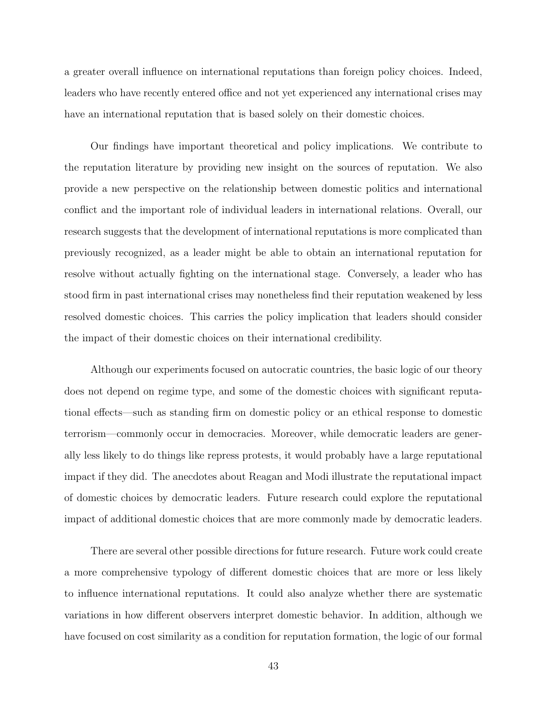a greater overall influence on international reputations than foreign policy choices. Indeed, leaders who have recently entered office and not yet experienced any international crises may have an international reputation that is based solely on their domestic choices.

Our findings have important theoretical and policy implications. We contribute to the reputation literature by providing new insight on the sources of reputation. We also provide a new perspective on the relationship between domestic politics and international conflict and the important role of individual leaders in international relations. Overall, our research suggests that the development of international reputations is more complicated than previously recognized, as a leader might be able to obtain an international reputation for resolve without actually fighting on the international stage. Conversely, a leader who has stood firm in past international crises may nonetheless find their reputation weakened by less resolved domestic choices. This carries the policy implication that leaders should consider the impact of their domestic choices on their international credibility.

Although our experiments focused on autocratic countries, the basic logic of our theory does not depend on regime type, and some of the domestic choices with significant reputational effects—such as standing firm on domestic policy or an ethical response to domestic terrorism—commonly occur in democracies. Moreover, while democratic leaders are generally less likely to do things like repress protests, it would probably have a large reputational impact if they did. The anecdotes about Reagan and Modi illustrate the reputational impact of domestic choices by democratic leaders. Future research could explore the reputational impact of additional domestic choices that are more commonly made by democratic leaders.

There are several other possible directions for future research. Future work could create a more comprehensive typology of different domestic choices that are more or less likely to influence international reputations. It could also analyze whether there are systematic variations in how different observers interpret domestic behavior. In addition, although we have focused on cost similarity as a condition for reputation formation, the logic of our formal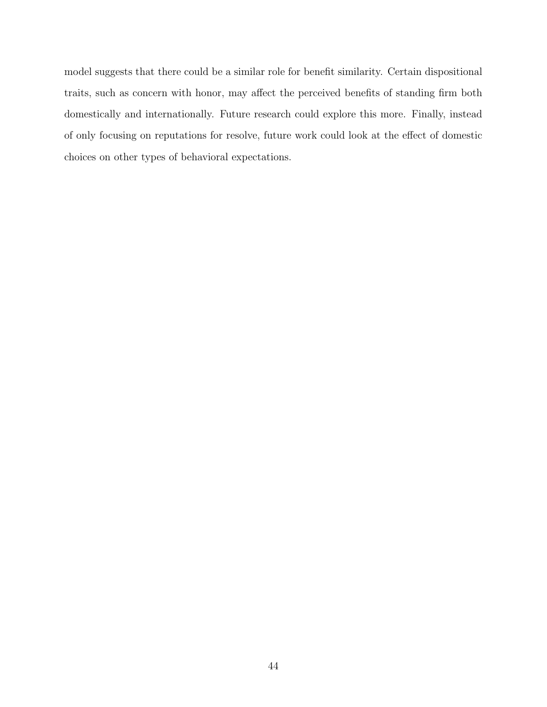model suggests that there could be a similar role for benefit similarity. Certain dispositional traits, such as concern with honor, may affect the perceived benefits of standing firm both domestically and internationally. Future research could explore this more. Finally, instead of only focusing on reputations for resolve, future work could look at the effect of domestic choices on other types of behavioral expectations.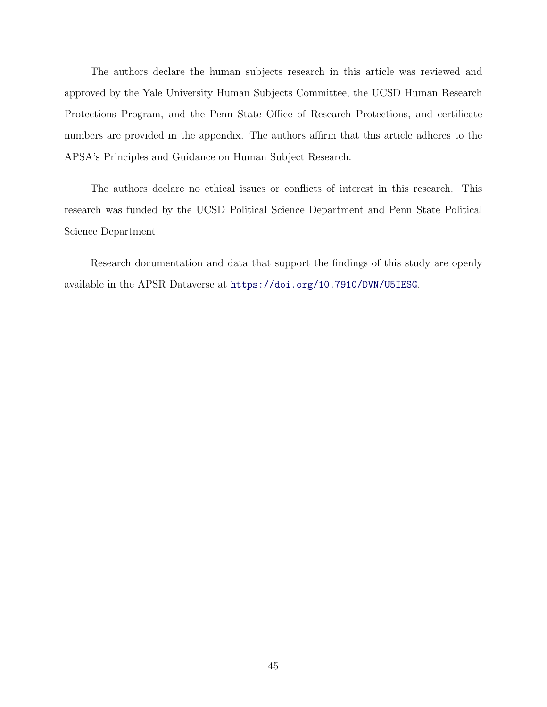The authors declare the human subjects research in this article was reviewed and approved by the Yale University Human Subjects Committee, the UCSD Human Research Protections Program, and the Penn State Office of Research Protections, and certificate numbers are provided in the appendix. The authors affirm that this article adheres to the APSA's Principles and Guidance on Human Subject Research.

The authors declare no ethical issues or conflicts of interest in this research. This research was funded by the UCSD Political Science Department and Penn State Political Science Department.

Research documentation and data that support the findings of this study are openly available in the APSR Dataverse at <https://doi.org/10.7910/DVN/U5IESG>.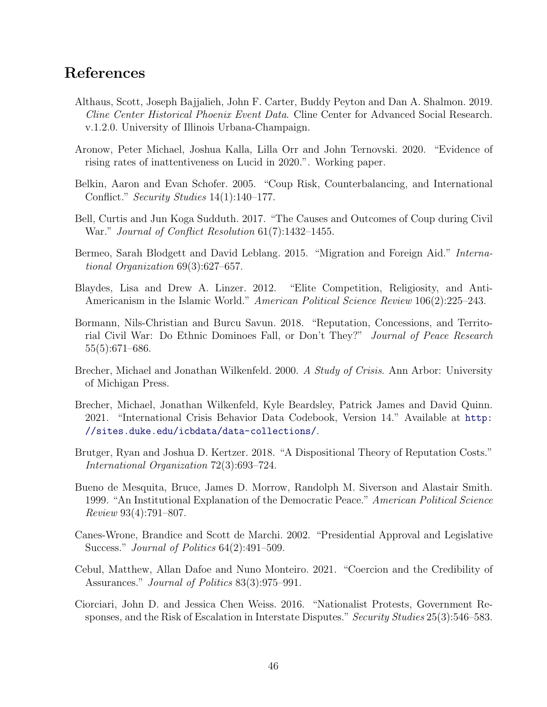## References

- <span id="page-47-8"></span>Althaus, Scott, Joseph Bajjalieh, John F. Carter, Buddy Peyton and Dan A. Shalmon. 2019. Cline Center Historical Phoenix Event Data. Cline Center for Advanced Social Research. v.1.2.0. University of Illinois Urbana-Champaign.
- <span id="page-47-9"></span>Aronow, Peter Michael, Joshua Kalla, Lilla Orr and John Ternovski. 2020. "Evidence of rising rates of inattentiveness on Lucid in 2020.". Working paper.
- <span id="page-47-12"></span>Belkin, Aaron and Evan Schofer. 2005. "Coup Risk, Counterbalancing, and International Conflict." Security Studies 14(1):140–177.
- <span id="page-47-0"></span>Bell, Curtis and Jun Koga Sudduth. 2017. "The Causes and Outcomes of Coup during Civil War." Journal of Conflict Resolution 61(7):1432–1455.
- <span id="page-47-3"></span>Bermeo, Sarah Blodgett and David Leblang. 2015. "Migration and Foreign Aid." International Organization 69(3):627–657.
- <span id="page-47-2"></span>Blaydes, Lisa and Drew A. Linzer. 2012. "Elite Competition, Religiosity, and Anti-Americanism in the Islamic World." American Political Science Review 106(2):225–243.
- <span id="page-47-4"></span>Bormann, Nils-Christian and Burcu Savun. 2018. "Reputation, Concessions, and Territorial Civil War: Do Ethnic Dominoes Fall, or Don't They?" Journal of Peace Research 55(5):671–686.
- <span id="page-47-6"></span>Brecher, Michael and Jonathan Wilkenfeld. 2000. A Study of Crisis. Ann Arbor: University of Michigan Press.
- <span id="page-47-7"></span>Brecher, Michael, Jonathan Wilkenfeld, Kyle Beardsley, Patrick James and David Quinn. 2021. "International Crisis Behavior Data Codebook, Version 14." Available at [http:](http://sites.duke.edu/icbdata/data-collections/) [//sites.duke.edu/icbdata/data-collections/](http://sites.duke.edu/icbdata/data-collections/).
- <span id="page-47-5"></span>Brutger, Ryan and Joshua D. Kertzer. 2018. "A Dispositional Theory of Reputation Costs." International Organization 72(3):693–724.
- <span id="page-47-11"></span>Bueno de Mesquita, Bruce, James D. Morrow, Randolph M. Siverson and Alastair Smith. 1999. "An Institutional Explanation of the Democratic Peace." American Political Science Review 93(4):791–807.
- <span id="page-47-1"></span>Canes-Wrone, Brandice and Scott de Marchi. 2002. "Presidential Approval and Legislative Success." *Journal of Politics* 64(2):491–509.
- <span id="page-47-10"></span>Cebul, Matthew, Allan Dafoe and Nuno Monteiro. 2021. "Coercion and the Credibility of Assurances." Journal of Politics 83(3):975–991.
- <span id="page-47-13"></span>Ciorciari, John D. and Jessica Chen Weiss. 2016. "Nationalist Protests, Government Responses, and the Risk of Escalation in Interstate Disputes." Security Studies 25(3):546–583.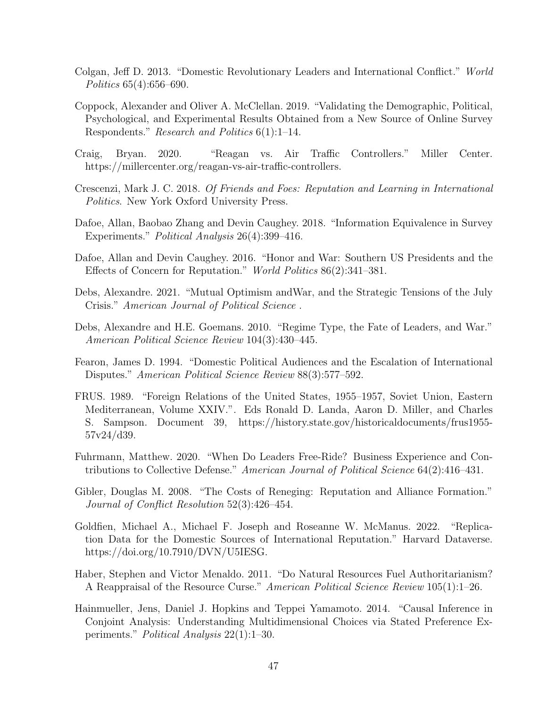- <span id="page-48-4"></span>Colgan, Jeff D. 2013. "Domestic Revolutionary Leaders and International Conflict." World Politics 65(4):656–690.
- <span id="page-48-11"></span>Coppock, Alexander and Oliver A. McClellan. 2019. "Validating the Demographic, Political, Psychological, and Experimental Results Obtained from a New Source of Online Survey Respondents." Research and Politics 6(1):1–14.
- <span id="page-48-0"></span>Craig, Bryan. 2020. "Reagan vs. Air Traffic Controllers." Miller Center. https://millercenter.org/reagan-vs-air-traffic-controllers.
- <span id="page-48-1"></span>Crescenzi, Mark J. C. 2018. Of Friends and Foes: Reputation and Learning in International Politics. New York Oxford University Press.
- <span id="page-48-12"></span>Dafoe, Allan, Baobao Zhang and Devin Caughey. 2018. "Information Equivalence in Survey Experiments." Political Analysis 26(4):399–416.
- <span id="page-48-5"></span>Dafoe, Allan and Devin Caughey. 2016. "Honor and War: Southern US Presidents and the Effects of Concern for Reputation." World Politics 86(2):341–381.
- <span id="page-48-9"></span>Debs, Alexandre. 2021. "Mutual Optimism andWar, and the Strategic Tensions of the July Crisis." American Journal of Political Science .
- <span id="page-48-6"></span>Debs, Alexandre and H.E. Goemans. 2010. "Regime Type, the Fate of Leaders, and War." American Political Science Review 104(3):430–445.
- <span id="page-48-3"></span>Fearon, James D. 1994. "Domestic Political Audiences and the Escalation of International Disputes." American Political Science Review 88(3):577–592.
- <span id="page-48-14"></span>FRUS. 1989. "Foreign Relations of the United States, 1955–1957, Soviet Union, Eastern Mediterranean, Volume XXIV.". Eds Ronald D. Landa, Aaron D. Miller, and Charles S. Sampson. Document 39, https://history.state.gov/historicaldocuments/frus1955- 57v24/d39.
- <span id="page-48-7"></span>Fuhrmann, Matthew. 2020. "When Do Leaders Free-Ride? Business Experience and Contributions to Collective Defense." American Journal of Political Science 64(2):416–431.
- <span id="page-48-8"></span>Gibler, Douglas M. 2008. "The Costs of Reneging: Reputation and Alliance Formation." Journal of Conflict Resolution 52(3):426–454.
- <span id="page-48-13"></span>Goldfien, Michael A., Michael F. Joseph and Roseanne W. McManus. 2022. "Replication Data for the Domestic Sources of International Reputation." Harvard Dataverse. https://doi.org/10.7910/DVN/U5IESG.
- <span id="page-48-2"></span>Haber, Stephen and Victor Menaldo. 2011. "Do Natural Resources Fuel Authoritarianism? A Reappraisal of the Resource Curse." American Political Science Review 105(1):1–26.
- <span id="page-48-10"></span>Hainmueller, Jens, Daniel J. Hopkins and Teppei Yamamoto. 2014. "Causal Inference in Conjoint Analysis: Understanding Multidimensional Choices via Stated Preference Experiments." Political Analysis 22(1):1–30.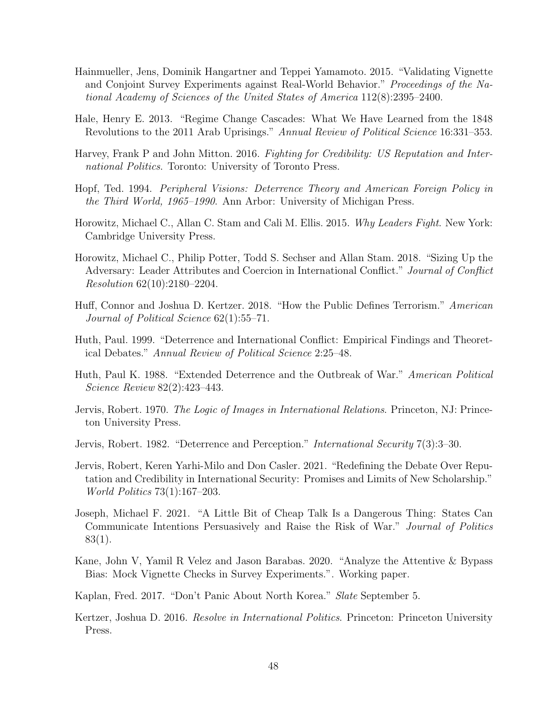- <span id="page-49-11"></span>Hainmueller, Jens, Dominik Hangartner and Teppei Yamamoto. 2015. "Validating Vignette and Conjoint Survey Experiments against Real-World Behavior." Proceedings of the National Academy of Sciences of the United States of America 112(8):2395–2400.
- <span id="page-49-10"></span>Hale, Henry E. 2013. "Regime Change Cascades: What We Have Learned from the 1848 Revolutions to the 2011 Arab Uprisings." Annual Review of Political Science 16:331–353.
- <span id="page-49-3"></span>Harvey, Frank P and John Mitton. 2016. Fighting for Credibility: US Reputation and International Politics. Toronto: University of Toronto Press.
- <span id="page-49-5"></span>Hopf, Ted. 1994. Peripheral Visions: Deterrence Theory and American Foreign Policy in the Third World, 1965–1990. Ann Arbor: University of Michigan Press.
- <span id="page-49-1"></span>Horowitz, Michael C., Allan C. Stam and Cali M. Ellis. 2015. Why Leaders Fight. New York: Cambridge University Press.
- <span id="page-49-14"></span>Horowitz, Michael C., Philip Potter, Todd S. Sechser and Allan Stam. 2018. "Sizing Up the Adversary: Leader Attributes and Coercion in International Conflict." Journal of Conflict Resolution 62(10):2180–2204.
- <span id="page-49-12"></span>Huff, Connor and Joshua D. Kertzer. 2018. "How the Public Defines Terrorism." American Journal of Political Science 62(1):55–71.
- <span id="page-49-7"></span>Huth, Paul. 1999. "Deterrence and International Conflict: Empirical Findings and Theoretical Debates." Annual Review of Political Science 2:25–48.
- <span id="page-49-4"></span>Huth, Paul K. 1988. "Extended Deterrence and the Outbreak of War." American Political Science Review 82(2):423–443.
- <span id="page-49-8"></span>Jervis, Robert. 1970. The Logic of Images in International Relations. Princeton, NJ: Princeton University Press.
- <span id="page-49-6"></span>Jervis, Robert. 1982. "Deterrence and Perception." International Security 7(3):3–30.
- <span id="page-49-0"></span>Jervis, Robert, Keren Yarhi-Milo and Don Casler. 2021. "Redefining the Debate Over Reputation and Credibility in International Security: Promises and Limits of New Scholarship." World Politics 73(1):167–203.
- <span id="page-49-9"></span>Joseph, Michael F. 2021. "A Little Bit of Cheap Talk Is a Dangerous Thing: States Can Communicate Intentions Persuasively and Raise the Risk of War." Journal of Politics 83(1).
- <span id="page-49-13"></span>Kane, John V, Yamil R Velez and Jason Barabas. 2020. "Analyze the Attentive & Bypass Bias: Mock Vignette Checks in Survey Experiments.". Working paper.
- <span id="page-49-15"></span>Kaplan, Fred. 2017. "Don't Panic About North Korea." Slate September 5.
- <span id="page-49-2"></span>Kertzer, Joshua D. 2016. Resolve in International Politics. Princeton: Princeton University Press.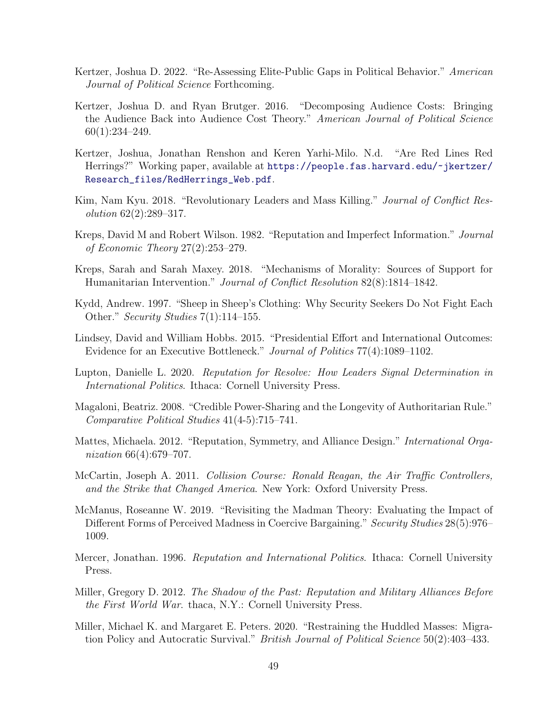- <span id="page-50-15"></span>Kertzer, Joshua D. 2022. "Re-Assessing Elite-Public Gaps in Political Behavior." American Journal of Political Science Forthcoming.
- <span id="page-50-10"></span>Kertzer, Joshua D. and Ryan Brutger. 2016. "Decomposing Audience Costs: Bringing the Audience Back into Audience Cost Theory." American Journal of Political Science 60(1):234–249.
- <span id="page-50-1"></span>Kertzer, Joshua, Jonathan Renshon and Keren Yarhi-Milo. N.d. "Are Red Lines Red Herrings?" Working paper, available at [https://people.fas.harvard.edu/~jkertzer/](https://people.fas.harvard.edu/~jkertzer/Research_files/RedHerrings_Web.pdf) [Research\\_files/RedHerrings\\_Web.pdf](https://people.fas.harvard.edu/~jkertzer/Research_files/RedHerrings_Web.pdf).
- <span id="page-50-14"></span>Kim, Nam Kyu. 2018. "Revolutionary Leaders and Mass Killing." Journal of Conflict Resolution 62(2):289–317.
- <span id="page-50-13"></span>Kreps, David M and Robert Wilson. 1982. "Reputation and Imperfect Information." Journal of Economic Theory 27(2):253–279.
- <span id="page-50-11"></span>Kreps, Sarah and Sarah Maxey. 2018. "Mechanisms of Morality: Sources of Support for Humanitarian Intervention." Journal of Conflict Resolution 82(8):1814–1842.
- <span id="page-50-9"></span>Kydd, Andrew. 1997. "Sheep in Sheep's Clothing: Why Security Seekers Do Not Fight Each Other." Security Studies 7(1):114–155.
- <span id="page-50-3"></span>Lindsey, David and William Hobbs. 2015. "Presidential Effort and International Outcomes: Evidence for an Executive Bottleneck." Journal of Politics 77(4):1089–1102.
- <span id="page-50-2"></span>Lupton, Danielle L. 2020. Reputation for Resolve: How Leaders Signal Determination in International Politics. Ithaca: Cornell University Press.
- <span id="page-50-5"></span>Magaloni, Beatriz. 2008. "Credible Power-Sharing and the Longevity of Authoritarian Rule." Comparative Political Studies 41(4-5):715–741.
- <span id="page-50-7"></span>Mattes, Michaela. 2012. "Reputation, Symmetry, and Alliance Design." International Organization 66(4):679–707.
- <span id="page-50-0"></span>McCartin, Joseph A. 2011. Collision Course: Ronald Reagan, the Air Traffic Controllers, and the Strike that Changed America. New York: Oxford University Press.
- <span id="page-50-12"></span>McManus, Roseanne W. 2019. "Revisiting the Madman Theory: Evaluating the Impact of Different Forms of Perceived Madness in Coercive Bargaining." Security Studies 28(5):976– 1009.
- <span id="page-50-6"></span>Mercer, Jonathan. 1996. *Reputation and International Politics*. Ithaca: Cornell University Press.
- <span id="page-50-8"></span>Miller, Gregory D. 2012. The Shadow of the Past: Reputation and Military Alliances Before the First World War. thaca, N.Y.: Cornell University Press.
- <span id="page-50-4"></span>Miller, Michael K. and Margaret E. Peters. 2020. "Restraining the Huddled Masses: Migration Policy and Autocratic Survival." British Journal of Political Science 50(2):403–433.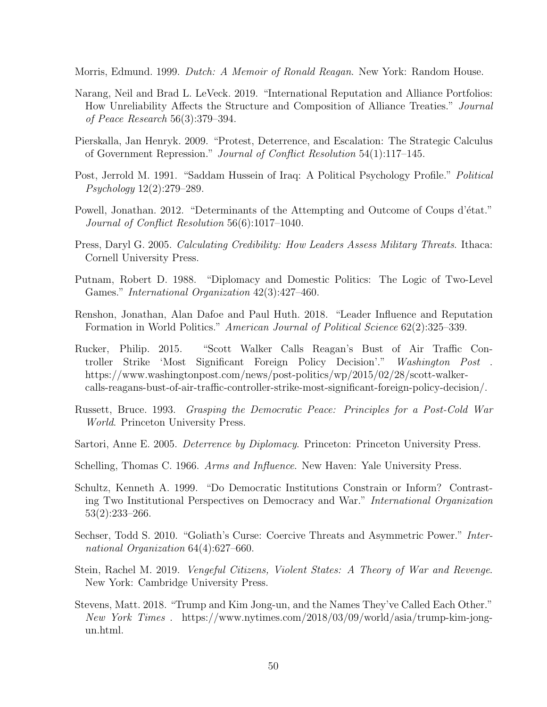<span id="page-51-0"></span>Morris, Edmund. 1999. Dutch: A Memoir of Ronald Reagan. New York: Random House.

- <span id="page-51-9"></span>Narang, Neil and Brad L. LeVeck. 2019. "International Reputation and Alliance Portfolios: How Unreliability Affects the Structure and Composition of Alliance Treaties." Journal of Peace Research 56(3):379–394.
- <span id="page-51-3"></span>Pierskalla, Jan Henryk. 2009. "Protest, Deterrence, and Escalation: The Strategic Calculus of Government Repression." Journal of Conflict Resolution 54(1):117–145.
- <span id="page-51-14"></span>Post, Jerrold M. 1991. "Saddam Hussein of Iraq: A Political Psychology Profile." Political Psychology 12(2):279–289.
- <span id="page-51-4"></span>Powell, Jonathan. 2012. "Determinants of the Attempting and Outcome of Coups d'état." Journal of Conflict Resolution 56(6):1017–1040.
- <span id="page-51-8"></span>Press, Daryl G. 2005. Calculating Credibility: How Leaders Assess Military Threats. Ithaca: Cornell University Press.
- <span id="page-51-5"></span>Putnam, Robert D. 1988. "Diplomacy and Domestic Politics: The Logic of Two-Level Games." International Organization 42(3):427–460.
- <span id="page-51-2"></span>Renshon, Jonathan, Alan Dafoe and Paul Huth. 2018. "Leader Influence and Reputation Formation in World Politics." American Journal of Political Science 62(2):325–339.
- <span id="page-51-13"></span>Rucker, Philip. 2015. "Scott Walker Calls Reagan's Bust of Air Traffic Controller Strike 'Most Significant Foreign Policy Decision'." Washington Post . https://www.washingtonpost.com/news/post-politics/wp/2015/02/28/scott-walkercalls-reagans-bust-of-air-traffic-controller-strike-most-significant-foreign-policy-decision/.
- <span id="page-51-10"></span>Russett, Bruce. 1993. Grasping the Democratic Peace: Principles for a Post-Cold War World. Princeton University Press.
- <span id="page-51-1"></span>Sartori, Anne E. 2005. *Deterrence by Diplomacy*. Princeton: Princeton University Press.
- <span id="page-51-7"></span>Schelling, Thomas C. 1966. Arms and Influence. New Haven: Yale University Press.
- <span id="page-51-6"></span>Schultz, Kenneth A. 1999. "Do Democratic Institutions Constrain or Inform? Contrasting Two Institutional Perspectives on Democracy and War." International Organization 53(2):233–266.
- <span id="page-51-12"></span>Sechser, Todd S. 2010. "Goliath's Curse: Coercive Threats and Asymmetric Power." International Organization 64(4):627–660.
- <span id="page-51-11"></span>Stein, Rachel M. 2019. Vengeful Citizens, Violent States: A Theory of War and Revenge. New York: Cambridge University Press.
- <span id="page-51-15"></span>Stevens, Matt. 2018. "Trump and Kim Jong-un, and the Names They've Called Each Other." New York Times . https://www.nytimes.com/2018/03/09/world/asia/trump-kim-jongun.html.